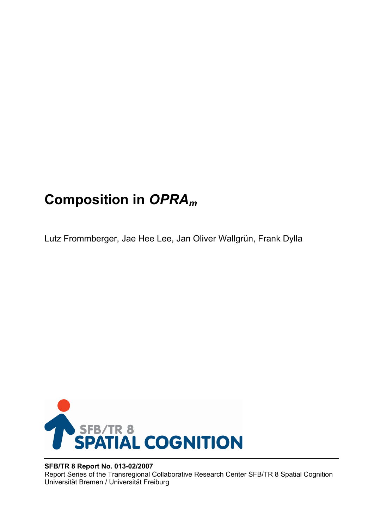# **Composition in** *OPRAm*

Lutz Frommberger, Jae Hee Lee, Jan Oliver Wallgrün, Frank Dylla



## **SFB/TR 8 Report No. 013-02/2007**

Report Series of the Transregional Collaborative Research Center SFB/TR 8 Spatial Cognition Universität Bremen / Universität Freiburg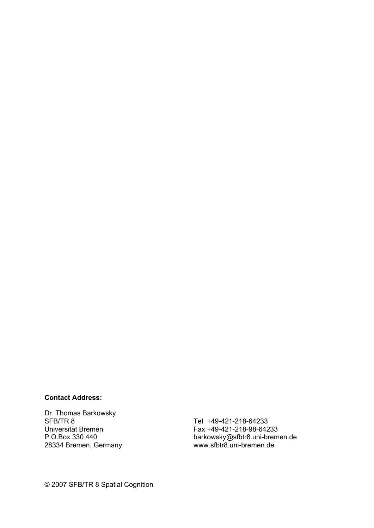### **Contact Address:**

Dr. Thomas Barkowsky SFB/TR 8 Universität Bremen P.O.Box 330 440 28334 Bremen, Germany

Tel +49-421-218-64233 Fax +49-421-218-98-64233 barkowsky@sfbtr8.uni-bremen.de www.sfbtr8.uni-bremen.de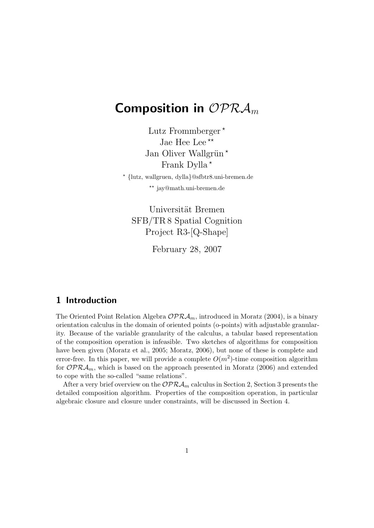## Composition in  $\mathcal{OPRA}_m$

Lutz Frommberger\* Jae Hee Lee \*\* Jan Oliver Wallgrün  $*$ Frank Dylla<sup>\*</sup>

? {lutz, wallgruen, dylla}@sfbtr8.uni-bremen.de \*\* jay@math.uni-bremen.de

Universität Bremen SFB/TR 8 Spatial Cognition Project R3-[Q-Shape]

February 28, 2007

## 1 Introduction

The Oriented Point Relation Algebra  $\mathcal{OPRA}_m$ , introduced in Moratz (2004), is a binary orientation calculus in the domain of oriented points (o-points) with adjustable granularity. Because of the variable granularity of the calculus, a tabular based representation of the composition operation is infeasible. Two sketches of algorithms for composition have been given (Moratz et al., 2005; Moratz, 2006), but none of these is complete and error-free. In this paper, we will provide a complete  $O(m^2)$ -time composition algorithm for  $\mathcal{OPRA}_m$ , which is based on the approach presented in Moratz (2006) and extended to cope with the so-called "same relations".

After a very brief overview on the  $\mathcal{OPRA}_m$  calculus in Section 2, Section 3 presents the detailed composition algorithm. Properties of the composition operation, in particular algebraic closure and closure under constraints, will be discussed in Section 4.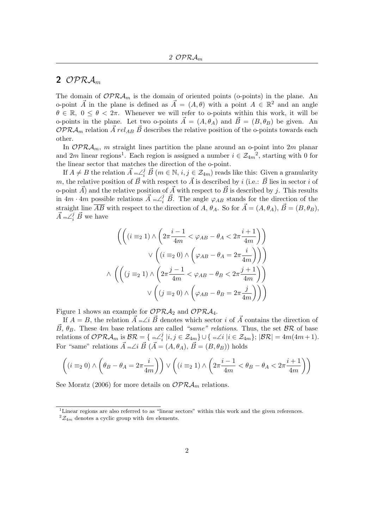## 2 OPR $A_m$

The domain of  $\mathcal{OPRA}_m$  is the domain of oriented points (o-points) in the plane. An o-point  $\vec{A}$  in the plane is defined as  $\vec{A} = (A, \theta)$  with a point  $A \in \mathbb{R}^2$  and an angle  $\theta \in \mathbb{R}, 0 \leq \theta \leq 2\pi$ . Whenever we will refer to o-points within this work, it will be o-points in the plane. Let two o-points  $\vec{A} = (A, \theta_A)$  and  $\vec{B} = (B, \theta_B)$  be given. An  $\mathcal{OPRA}_m$  relation  $\vec{A}$  rel<sub>AB</sub>  $\vec{B}$  describes the relative position of the o-points towards each other.

In  $\mathcal{OPRA}_m$ , m straight lines partition the plane around an o-point into 2m planar and 2m linear regions<sup>1</sup>. Each region is assigned a number  $i \in \mathcal{Z}_{4m}^2$ , starting with 0 for the linear sector that matches the direction of the o-point.

If  $A \neq B$  the relation  $\vec{A} {}_{m} \angle_i^j \vec{B}$   $(m \in \mathbb{N}, i, j \in \mathcal{Z}_{4m})$  reads like this: Given a granularity m, the relative position of  $\vec{B}$  with respect to  $\vec{A}$  is described by i (i.e.:  $\vec{B}$  lies in sector i of o-point  $\vec{A}$  and the relative position of  $\vec{A}$  with respect to  $\vec{B}$  is described by j. This results in  $4m \cdot 4m$  possible relations  $\vec{A} {}_{m} \angle^{j}_{i} \vec{B}$ . The angle  $\varphi_{AB}$  stands for the direction of the straight line  $\overline{AB}$  with respect to the direction of A,  $\theta_A$ . So for  $\vec{A} = (A, \theta_A)$ ,  $\vec{B} = (B, \theta_B)$ ,  $\vec{A}$  m $\overline{\angle}_{i}^{j}$   $\vec{B}$  we have

$$
\left( \left( (i \equiv_2 1) \land \left( 2\pi \frac{i-1}{4m} < \varphi_{AB} - \theta_A < 2\pi \frac{i+1}{4m} \right) \right) \right)
$$
\n
$$
\lor \left( (i \equiv_2 0) \land \left( \varphi_{AB} - \theta_A = 2\pi \frac{i}{4m} \right) \right) \right)
$$
\n
$$
\land \left( \left( (j \equiv_2 1) \land \left( 2\pi \frac{j-1}{4m} < \varphi_{AB} - \theta_B < 2\pi \frac{j+1}{4m} \right) \right) \right)
$$
\n
$$
\lor \left( (j \equiv_2 0) \land \left( \varphi_{AB} - \theta_B = 2\pi \frac{j}{4m} \right) \right) \right)
$$

Figure 1 shows an example for  $\mathcal{OPRA}_2$  and  $\mathcal{OPRA}_4$ .

If  $A = B$ , the relation  $\vec{A}$  m∠i  $\vec{B}$  denotes which sector i of  $\vec{A}$  contains the direction of  $\vec{B}, \theta_B$ . These 4m base relations are called "same" relations. Thus, the set  $\beta \mathcal{R}$  of base relations of  $\mathcal{OPRA}_m$  is  $\mathcal{BR} = \{ m \angle i \}$  $i_{i}^{j} | i, j \in \mathcal{Z}_{4m}$ } ∪ { m∠i |i ∈  $\mathcal{Z}_{4m}$ }; |BR| =  $4m(4m+1)$ . For "same" relations  $\vec{A}$  m∠i  $\vec{B}$  ( $\vec{A} = (A, \theta_A), \vec{B} = (B, \theta_B)$ ) holds

$$
\left((i \equiv_2 0) \wedge \left(\theta_B - \theta_A = 2\pi \frac{i}{4m}\right)\right) \vee \left((i \equiv_2 1) \wedge \left(2\pi \frac{i-1}{4m} < \theta_B - \theta_A < 2\pi \frac{i+1}{4m}\right)\right)
$$

See Moratz (2006) for more details on  $\mathcal{OPRA}_m$  relations.

<sup>1</sup>Linear regions are also referred to as "linear sectors" within this work and the given references.  $^{2}Z_{4m}$  denotes a cyclic group with 4m elements.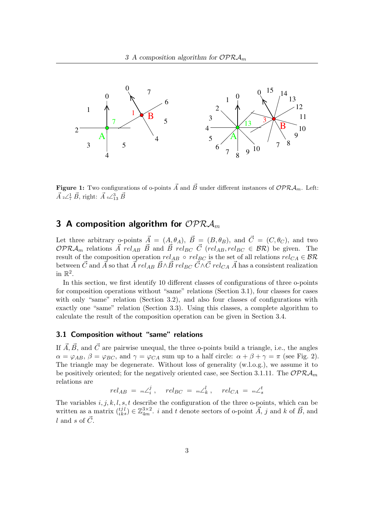

**Figure 1:** Two configurations of o-points  $\vec{A}$  and  $\vec{B}$  under different instances of  $\mathcal{OPRA}_m$ . Left:  $\vec{A}$  2 $\angle^1_7$   $\vec{B}$ , right:  $\vec{A}$  4 $\angle^3_{13}$   $\vec{B}$ 

## 3 A composition algorithm for  $\mathcal{OPRA}_m$

Let three arbitrary o-points  $\vec{A} = (A, \theta_A), \vec{B} = (B, \theta_B),$  and  $\vec{C} = (C, \theta_C),$  and two  $OPR_{Am}$  relations  $\vec{A}$  rel<sub>AB</sub>  $\vec{B}$  and  $\vec{B}$  rel<sub>BC</sub>  $\vec{C}$  (rel<sub>AB</sub>, rel<sub>BC</sub>  $\in$  BR) be given. The result of the composition operation  $rel_{AB} \circ rel_{BC}$  is the set of all relations  $rel_{CA} \in BR$ between  $\vec{C}$  and  $\vec{A}$  so that  $\vec{A}$  rel<sub>AB</sub>  $\vec{B} \wedge \vec{B}$  rel<sub>BC</sub>  $\vec{C} \wedge \vec{C}$  rel<sub>CA</sub>  $\vec{A}$  has a consistent realization in  $\mathbb{R}^2$ .

In this section, we first identify 10 different classes of configurations of three o-points for composition operations without "same" relations (Section 3.1), four classes for cases with only "same" relation (Section 3.2), and also four classes of configurations with exactly one "same" relation (Section 3.3). Using this classes, a complete algorithm to calculate the result of the composition operation can be given in Section 3.4.

#### 3.1 Composition without "same" relations

If  $\vec{A}, \vec{B}$ , and  $\vec{C}$  are pairwise unequal, the three o-points build a triangle, i.e., the angles  $\alpha = \varphi_{AB}, \beta = \varphi_{BC}, \text{ and } \gamma = \varphi_{CA} \text{ sum up to a half circle: } \alpha + \beta + \gamma = \pi \text{ (see Fig. 2).}$ The triangle may be degenerate. Without loss of generality (w.l.o.g.), we assume it to be positively oriented; for the negatively oriented case, see Section 3.1.11. The  $OPRA<sub>m</sub>$ relations are

$$
rel_{AB} = {}_{m}\angle_i^j , \quad rel_{BC} = {}_{m}\angle_k^l , \quad rel_{CA} = {}_{m}\angle_s^t
$$

The variables i, j, k, l, s, t describe the configuration of the three o-points, which can be written as a matrix  $\binom{t}{i}$ j  $\lambda_k^{j_l}$   $\in \mathbb{Z}_{4m}^{3\times 2}$ . i and t denote sectors of o-point  $\vec{A}$ , j and k of  $\vec{B}$ , and l and s of  $\vec{C}$ .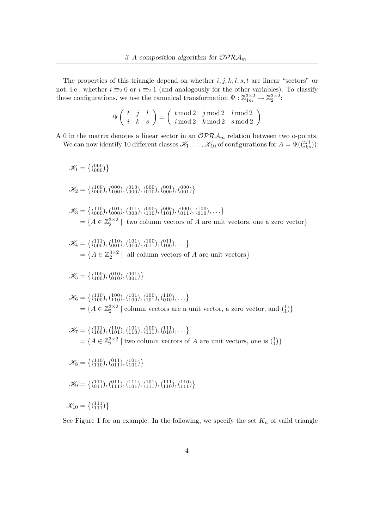The properties of this triangle depend on whether  $i, j, k, l, s, t$  are linear "sectors" or not, i.e., whether  $i \equiv_2 0$  or  $i \equiv_2 1$  (and analogously for the other variables). To classify these configurations, we use the canonical transformation  $\Psi : \mathbb{Z}_{4m}^{3\times 2} \to \mathbb{Z}_2^{3\times 2}$ :

$$
\Psi\left(\begin{array}{cc} t & j & l \\ i & k & s \end{array}\right) = \left(\begin{array}{cc} t\, \mathrm{mod}\, 2 & j\, \mathrm{mod}\, 2 & l\, \mathrm{mod}\, 2 \\ i\, \mathrm{mod}\, 2 & k\, \mathrm{mod}\, 2 & s\, \mathrm{mod}\, 2 \end{array}\right)
$$

A 0 in the matrix denotes a linear sector in an  $\mathcal{OPRA}_m$  relation between two o-points. We can now identify 10 different classes  $\mathscr{K}_1,\ldots,\mathscr{K}_{10}$  of configurations for  $A=\Psi(\binom{t}{i})$ j  $_{ks}^{j\,l}))$ :

$$
\mathcal{K}_1 = \{ ({}^{000}_{000}) \}
$$
\n
$$
\mathcal{K}_2 = \{ ({}^{100}_{000}), ({}^{000}_{000}), ({}^{010}_{000}), ({}^{000}_{000}), ({}^{000}_{000}), ({}^{000}_{001}) \}
$$
\n
$$
\mathcal{K}_3 = \{ ({}^{110}_{000}), ({}^{101}_{000}), ({}^{011}_{000}), ({}^{000}_{010}), ({}^{000}_{011}), ({}^{001}_{011}), ({}^{010}_{011}), ... \}
$$
\n
$$
= \{ A \in \mathbb{Z}_2^{3 \times 2} \mid \text{ two column vectors of } A \text{ are unit vectors, one a zero vector} \}
$$
\n
$$
\mathcal{K}_4 = \{ ({}^{111}_{000}), ({}^{110}_{010}), ({}^{101}_{010}), ({}^{011}_{010}), ... \}
$$
\n
$$
= \{ A \in \mathbb{Z}_2^{3 \times 2} \mid \text{all column vectors of } A \text{ are unit vectors} \}
$$
\n
$$
\mathcal{K}_5 = \{ ({}^{100}_{100}), ({}^{010}_{010}), ({}^{001}_{011}), ({}^{100}_{100}), ... \}
$$
\n
$$
\mathcal{K}_6 = \{ ({}^{110}_{100}), ({}^{100}_{110}), ({}^{100}_{101}), ({}^{100}_{110}), ... \}
$$
\n
$$
= \{ A \in \mathbb{Z}_2^{3 \times 2} \mid \text{column vectors are a unit vector, a zero vector, and  $\begin{pmatrix} 1 \\ 1 \end{pmatrix} \}$ \n
$$
\mathcal{K}_7 = \{ ({}^{111}_{100}), ({}^{110}_{101}), ({}^{101}_{110}), ({}^{110}_{111}), ({}^{111}_{010}), ... \}
$$
\n
$$
= \{ A \in \mathbb{Z}_2^{3 \times 2} \mid \text{two column vectors of } A \text{ are unit vectors, one is } \begin{pmatrix} 1 \\ 1 \end{pmatrix} \}
$$
\n
$$
\mathcal{K}_8 = \{ ({}^{111}_{110}), ({}^{011}_{111}), ({}^{
$$
$$

See Figure 1 for an example. In the following, we specify the set  $K_n$  of valid triangle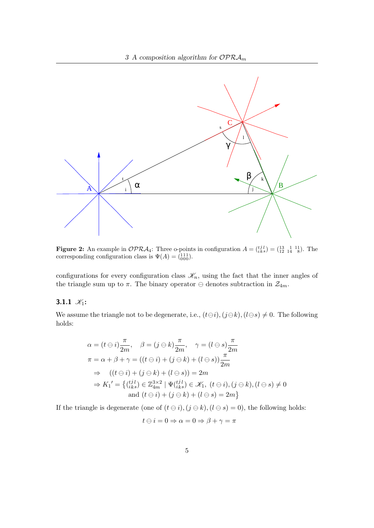

**Figure 2:** An example in  $OPRA_4$ : Three o-points in configuration  $A = \begin{pmatrix} i & i \\ i & k \end{pmatrix} = \begin{pmatrix} 13 & 1 & 11 \\ 12 & 14 & 8 \end{pmatrix}$ . The corresponding configuration class is  $\Psi(A) = \begin{pmatrix} 111 \\ 000 \end{pmatrix}$ .

configurations for every configuration class  $\mathscr{K}_n$ , using the fact that the inner angles of the triangle sum up to  $\pi$ . The binary operator  $\ominus$  denotes subtraction in  $\mathcal{Z}_{4m}$ .

#### 3.1.1  $\mathcal{K}_1$ :

We assume the triangle not to be degenerate, i.e.,  $(t\ominus i)$ ,  $(j\ominus k)$ ,  $(l\ominus s) \neq 0$ . The following holds:

$$
\alpha = (t \ominus i) \frac{\pi}{2m}, \quad \beta = (j \ominus k) \frac{\pi}{2m}, \quad \gamma = (l \ominus s) \frac{\pi}{2m}
$$
  

$$
\pi = \alpha + \beta + \gamma = ((t \ominus i) + (j \ominus k) + (l \ominus s)) \frac{\pi}{2m}
$$
  

$$
\Rightarrow ((t \ominus i) + (j \ominus k) + (l \ominus s)) = 2m
$$
  

$$
\Rightarrow K_1' = \{(\begin{matrix} tjl \\ iks \end{matrix}) \in \mathbb{Z}_{4m}^{3 \times 2} \mid \Psi(\begin{matrix} tjl \\ iks \end{matrix}) \in \mathcal{K}_1, \ (t \ominus i), (j \ominus k), (l \ominus s) \neq 0
$$
  
and  $(t \ominus i) + (j \ominus k) + (l \ominus s) = 2m\}$ 

If the triangle is degenerate (one of  $(t \ominus i)$ ,  $(j \ominus k)$ ,  $(l \ominus s) = 0$ ), the following holds:

$$
t \ominus i = 0 \Rightarrow \alpha = 0 \Rightarrow \beta + \gamma = \pi
$$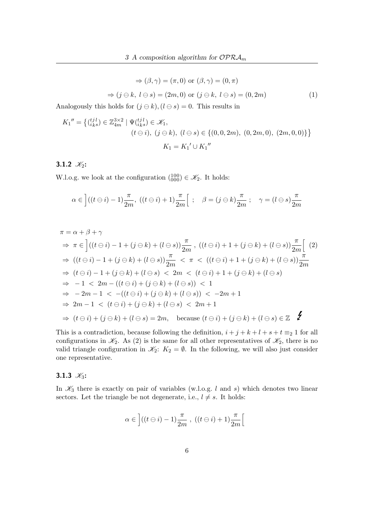$$
\Rightarrow (\beta, \gamma) = (\pi, 0) \text{ or } (\beta, \gamma) = (0, \pi)
$$

$$
\Rightarrow (j \ominus k, l \ominus s) = (2m, 0) \text{ or } (j \ominus k, l \ominus s) = (0, 2m) \tag{1}
$$

Analogously this holds for  $(j \ominus k)$ ,  $(l \ominus s) = 0$ . This results in

$$
K_1'' = \{ (\begin{matrix} t_j l \\ i_k s \end{matrix}) \in \mathbb{Z}_{4m}^{3 \times 2} \mid \Psi(t_k^{ij}) \in \mathcal{K}_1, \\ (t \ominus i), (j \ominus k), (l \ominus s) \in \{ (0, 0, 2m), (0, 2m, 0), (2m, 0, 0) \} \}
$$

$$
K_1 = K_1' \cup K_1''
$$

#### 3.1.2  $\mathcal{K}_2$ :

W.l.o.g. we look at the configuration  $\begin{pmatrix} 100 \\ 000 \end{pmatrix} \in \mathscr{K}_2$ . It holds:

$$
\alpha \in \left] ((t \ominus i) - 1) \frac{\pi}{2m}, \ ((t \ominus i) + 1) \frac{\pi}{2m} \right[ ; \quad \beta = (j \ominus k) \frac{\pi}{2m} ; \quad \gamma = (l \ominus s) \frac{\pi}{2m}
$$

$$
\pi = \alpha + \beta + \gamma
$$
  
\n
$$
\Rightarrow \pi \in \left[ ((t \ominus i) - 1 + (j \ominus k) + (l \ominus s)) \frac{\pi}{2m} , ((t \ominus i) + 1 + (j \ominus k) + (l \ominus s)) \frac{\pi}{2m} \right] (2)
$$
  
\n
$$
\Rightarrow ((t \ominus i) - 1 + (j \ominus k) + (l \ominus s)) \frac{\pi}{2m} < \pi < ((t \ominus i) + 1 + (j \ominus k) + (l \ominus s)) \frac{\pi}{2m}
$$
  
\n
$$
\Rightarrow (t \ominus i) - 1 + (j \ominus k) + (l \ominus s) < 2m < (t \ominus i) + 1 + (j \ominus k) + (l \ominus s)
$$
  
\n
$$
\Rightarrow -1 < 2m - ((t \ominus i) + (j \ominus k) + (l \ominus s)) < 1
$$
  
\n
$$
\Rightarrow -2m - 1 < -(t \ominus i) + (j \ominus k) + (l \ominus s) < 2m + 1
$$
  
\n
$$
\Rightarrow 2m - 1 < (t \ominus i) + (j \ominus k) + (l \ominus s) < 2m + 1
$$
  
\n
$$
\Rightarrow (t \ominus i) + (j \ominus k) + (l \ominus s) = 2m, \text{ because } (t \ominus i) + (j \ominus k) + (l \ominus s) \in \mathbb{Z}
$$

This is a contradiction, because following the definition,  $i + j + k + l + s + t \equiv_2 1$  for all configurations in  $\mathcal{K}_2$ . As (2) is the same for all other representatives of  $\mathcal{K}_2$ , there is no valid triangle configuration in  $\mathscr{K}_2$ :  $K_2 = \emptyset$ . In the following, we will also just consider one representative.

#### 3.1.3  $\mathcal{K}_3$ :

In  $\mathcal{K}_3$  there is exactly on pair of variables (w.l.o.g. l and s) which denotes two linear sectors. Let the triangle be not degenerate, i.e.,  $l \neq s$ . It holds:

$$
\alpha\in\left] ((t\ominus i)-1)\frac{\pi}{2m} \;,\; ((t\ominus i)+1)\frac{\pi}{2m}\right[
$$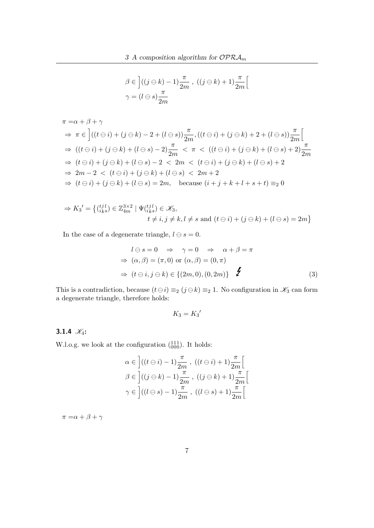$$
\beta \in \left[ ((j \ominus k) - 1) \frac{\pi}{2m} , ((j \ominus k) + 1) \frac{\pi}{2m} \right[
$$
  

$$
\gamma = (l \ominus s) \frac{\pi}{2m}
$$

$$
\pi = \alpha + \beta + \gamma
$$
  
\n
$$
\Rightarrow \pi \in \left[ ((t \ominus i) + (j \ominus k) - 2 + (l \ominus s)) \frac{\pi}{2m}, ((t \ominus i) + (j \ominus k) + 2 + (l \ominus s)) \frac{\pi}{2m} \right]
$$
  
\n
$$
\Rightarrow ((t \ominus i) + (j \ominus k) + (l \ominus s) - 2) \frac{\pi}{2m} < \pi < ((t \ominus i) + (j \ominus k) + (l \ominus s) + 2) \frac{\pi}{2m}
$$
  
\n
$$
\Rightarrow (t \ominus i) + (j \ominus k) + (l \ominus s) - 2 < 2m < (t \ominus i) + (j \ominus k) + (l \ominus s) + 2
$$
  
\n
$$
\Rightarrow 2m - 2 < (t \ominus i) + (j \ominus k) + (l \ominus s) < 2m + 2
$$
  
\n
$$
\Rightarrow (t \ominus i) + (j \ominus k) + (l \ominus s) = 2m, \quad \text{because } (i + j + k + l + s + t) \equiv_2 0
$$

$$
\Rightarrow K_3' = \left\{ \begin{matrix} (ijl) \\ iks \end{matrix} \right\} \in \mathbb{Z}_{4m}^{3 \times 2} \mid \Psi_{(iks)}^{(ijl)} \in \mathcal{K}_3,
$$
  

$$
t \neq i, j \neq k, l \neq s \text{ and } (t \ominus i) + (j \ominus k) + (l \ominus s) = 2m \right\}
$$

In the case of a degenerate triangle,  $l \ominus s = 0$ .

$$
l \ominus s = 0 \Rightarrow \gamma = 0 \Rightarrow \alpha + \beta = \pi
$$
  
\n
$$
\Rightarrow (\alpha, \beta) = (\pi, 0) \text{ or } (\alpha, \beta) = (0, \pi)
$$
  
\n
$$
\Rightarrow (t \ominus i, j \ominus k) \in \{(2m, 0), (0, 2m)\}
$$
 (3)

This is a contradiction, because  $(t \ominus i) \equiv_2 (j \ominus k) \equiv_2 1$ . No configuration in  $\mathcal{K}_3$  can form a degenerate triangle, therefore holds:

$$
K_3 = K_3{'}
$$

## 3.1.4  $\mathcal{K}_4$ :

W.l.o.g. we look at the configuration  $\binom{111}{000}$ . It holds:

$$
\alpha \in \left] ((t \ominus i) - 1) \frac{\pi}{2m}, ((t \ominus i) + 1) \frac{\pi}{2m} \right[
$$
  

$$
\beta \in \left] ((j \ominus k) - 1) \frac{\pi}{2m}, ((j \ominus k) + 1) \frac{\pi}{2m} \right[
$$
  

$$
\gamma \in \left] ((l \ominus s) - 1) \frac{\pi}{2m}, ((l \ominus s) + 1) \frac{\pi}{2m} \right[
$$

 $\pi = \alpha + \beta + \gamma$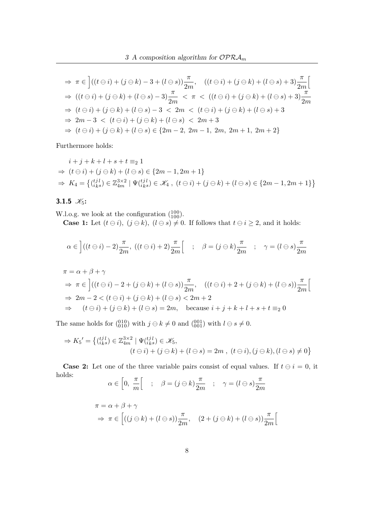$$
\Rightarrow \pi \in \left[ ((t \ominus i) + (j \ominus k) - 3 + (l \ominus s)) \frac{\pi}{2m}, ((t \ominus i) + (j \ominus k) + (l \ominus s) + 3) \frac{\pi}{2m} \right]
$$
  
\n
$$
\Rightarrow ((t \ominus i) + (j \ominus k) + (l \ominus s) - 3) \frac{\pi}{2m} < \pi < ((t \ominus i) + (j \ominus k) + (l \ominus s) + 3) \frac{\pi}{2m}
$$
  
\n
$$
\Rightarrow (t \ominus i) + (j \ominus k) + (l \ominus s) - 3 < 2m < (t \ominus i) + (j \ominus k) + (l \ominus s) + 3
$$
  
\n
$$
\Rightarrow 2m - 3 < (t \ominus i) + (j \ominus k) + (l \ominus s) < 2m + 3
$$
  
\n
$$
\Rightarrow (t \ominus i) + (j \ominus k) + (l \ominus s) \in \{2m - 2, 2m - 1, 2m, 2m + 1, 2m + 2\}
$$

Furthermore holds:

$$
i + j + k + l + s + t \equiv_2 1
$$
  
\n
$$
\Rightarrow (t \ominus i) + (j \ominus k) + (l \ominus s) \in \{2m - 1, 2m + 1\}
$$
  
\n
$$
\Rightarrow K_4 = \{(\begin{matrix} i, j \ i, k \end{matrix}) \in \mathbb{Z}_{4m}^{3 \times 2} \mid \Psi(\begin{matrix} i, j \ i, k \end{matrix}) \in \mathcal{K}_4, \ (t \ominus i) + (j \ominus k) + (l \ominus s) \in \{2m - 1, 2m + 1\}\}
$$

3.1.5  $\mathcal{K}_5$ :

W.l.o.g. we look at the configuration  $\binom{100}{100}$ . **Case 1:** Let  $(t \ominus i)$ ,  $(j \ominus k)$ ,  $(l \ominus s) \neq 0$ . If follows that  $t \ominus i \geq 2$ , and it holds:

$$
\alpha \in \left] ((t \ominus i) - 2) \frac{\pi}{2m}, \ ((t \ominus i) + 2) \frac{\pi}{2m} \right[ \ ; \ \beta = (j \ominus k) \frac{\pi}{2m} \ ; \ \gamma = (l \ominus s) \frac{\pi}{2m}
$$

$$
\pi = \alpha + \beta + \gamma
$$
  
\n
$$
\Rightarrow \pi \in \left[ ((t \ominus i) - 2 + (j \ominus k) + (l \ominus s)) \frac{\pi}{2m}, ((t \ominus i) + 2 + (j \ominus k) + (l \ominus s)) \frac{\pi}{2m} \right]
$$
  
\n
$$
\Rightarrow 2m - 2 < (t \ominus i) + (j \ominus k) + (l \ominus s) < 2m + 2
$$
  
\n
$$
\Rightarrow (t \ominus i) + (j \ominus k) + (l \ominus s) = 2m, \text{ because } i + j + k + l + s + t \equiv_2 0
$$

The same holds for  $\binom{010}{010}$  with  $j \ominus k \neq 0$  and  $\binom{001}{001}$  with  $l \ominus s \neq 0$ .

$$
\Rightarrow K_5' = \left\{ \begin{matrix} (i\,j\,l)}_{i\,ks} \in \mathbb{Z}_{4m}^{3\times2} \mid \Psi(i\,ks}^{ij\,l}) \in \mathcal{K}_5, \\ (t \ominus i) + (j \ominus k) + (l \ominus s) = 2m \; , \; (t \ominus i), (j \ominus k), (l \ominus s) \neq 0 \right\}
$$

**Case 2:** Let one of the three variable pairs consist of equal values. If  $t \ominus i = 0$ , it holds:  $\pi$ π  $\pi$ 

$$
\alpha \in \left[0, \ \frac{\pi}{m}\right[ \quad ; \quad \beta = (j \ominus k) \frac{\pi}{2m} \quad ; \quad \gamma = (l \ominus s) \frac{\pi}{2m}
$$

$$
\pi = \alpha + \beta + \gamma
$$
  
\n
$$
\Rightarrow \pi \in \left[ ((j \ominus k) + (l \ominus s)) \frac{\pi}{2m}, (2 + (j \ominus k) + (l \ominus s)) \frac{\pi}{2m} \right[
$$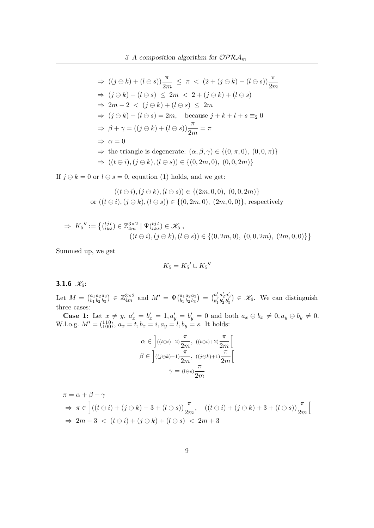$$
\Rightarrow ((j \ominus k) + (l \ominus s))\frac{\pi}{2m} \leq \pi < (2 + (j \ominus k) + (l \ominus s))\frac{\pi}{2m}
$$
\n
$$
\Rightarrow (j \ominus k) + (l \ominus s) \leq 2m < 2 + (j \ominus k) + (l \ominus s)
$$
\n
$$
\Rightarrow 2m - 2 < (j \ominus k) + (l \ominus s) \leq 2m
$$
\n
$$
\Rightarrow (j \ominus k) + (l \ominus s) = 2m, \quad \text{because } j + k + l + s \equiv_2 0
$$
\n
$$
\Rightarrow \beta + \gamma = ((j \ominus k) + (l \ominus s))\frac{\pi}{2m} = \pi
$$
\n
$$
\Rightarrow \alpha = 0
$$
\n
$$
\Rightarrow \text{ the triangle is degenerate: } (\alpha, \beta, \gamma) \in \{ (0, \pi, 0), (0, 0, \pi) \}
$$
\n
$$
\Rightarrow ((t \ominus i), (j \ominus k), (l \ominus s)) \in \{ (0, 2m, 0), (0, 0, 2m) \}
$$

If  $j \ominus k = 0$  or  $l \ominus s = 0$ , equation (1) holds, and we get:

$$
((t \ominus i), (j \ominus k), (l \ominus s)) \in \{(2m, 0, 0), (0, 0, 2m)\}\
$$
or 
$$
((t \ominus i), (j \ominus k), (l \ominus s)) \in \{(0, 2m, 0), (2m, 0, 0)\},
$$
 respectively

$$
\Rightarrow K_5'' := \left\{ \begin{matrix} (t_j^j l) \\ i_k s \end{matrix} \right\} \in \mathbb{Z}_{4m}^{3 \times 2} \mid \Psi(t_{ik}^{ij} l) \in \mathcal{K}_5 ,
$$
  

$$
((t \ominus i), (j \ominus k), (l \ominus s)) \in \left\{ (0, 2m, 0), (0, 0, 2m), (2m, 0, 0) \right\} \right\}
$$

Summed up, we get

$$
K_5 = K_5' \cup K_5''
$$

#### 3.1.6  $\mathcal{K}_6$ :

Let  $M = \binom{a_1}{b_1}$  $b_1$  $a_2$  $b<sub>2</sub>$  $a_3$  $\binom{a_3}{b_3} \in \mathbb{Z}_{4m}^{3 \times 2}$  and  $M' = \Psi \binom{a_1}{b_1}$  $b_1$  $a_2$  $b<sub>2</sub>$  $a_3$  $\binom{a_3}{b_3} = \binom{a'_1}{b'_1}$  $a'_2$ <br> $b'_2$  $\begin{bmatrix} a'_3 \\ b'_3 \end{bmatrix} \in \mathcal{K}_6$ . We can distinguish three cases:

**Case 1:** Let  $x \neq y$ ,  $a'_x = b'_x = 1$ ,  $a'_y = b'_y = 0$  and both  $a_x \ominus b_x \neq 0$ ,  $a_y \ominus b_y \neq 0$ . W.l.o.g.  $M' = \begin{pmatrix} 110 \\ 100 \end{pmatrix}$ ,  $a_x = t$ ,  $b_x = i$ ,  $a_y = l$ ,  $b_y = s$ . It holds:

$$
\alpha \in \left] ((t \ominus i) - 2) \frac{\pi}{2m}, ((t \ominus i) + 2) \frac{\pi}{2m} \right[
$$
  

$$
\beta \in \left] ((j \ominus k) - 1) \frac{\pi}{2m}, ((j \ominus k) + 1) \frac{\pi}{2m} \right[
$$
  

$$
\gamma = (l \ominus s) \frac{\pi}{2m}
$$

$$
\pi = \alpha + \beta + \gamma
$$
  
\n
$$
\Rightarrow \pi \in \left[ ((t \ominus i) + (j \ominus k) - 3 + (l \ominus s)) \frac{\pi}{2m}, ((t \ominus i) + (j \ominus k) + 3 + (l \ominus s)) \frac{\pi}{2m} \right]
$$
  
\n
$$
\Rightarrow 2m - 3 < (t \ominus i) + (j \ominus k) + (l \ominus s) < 2m + 3
$$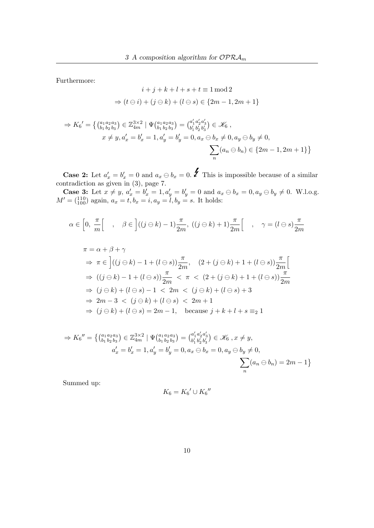Furthermore:

$$
i + j + k + l + s + t \equiv 1 \mod 2
$$
  

$$
\Rightarrow (t \ominus i) + (j \ominus k) + (l \ominus s) \in \{2m - 1, 2m + 1\}
$$

$$
\Rightarrow K_6' = \left\{ \begin{matrix} (a_1 a_2 a_3) \\ b_1 b_2 b_3 \end{matrix} \right\} \in \mathbb{Z}_{4m}^{3 \times 2} \mid \Psi_{(b_1 b_2 b_3)}^{(a_1 a_2 a_3)} = \begin{pmatrix} a'_1 a'_2 a'_3 \\ b'_1 b'_2 b'_3 \end{pmatrix} \in \mathcal{K}_6 ,
$$
  
 $x \neq y, a'_x = b'_x = 1, a'_y = b'_y = 0, a_x \ominus b_x \neq 0, a_y \ominus b_y \neq 0,$   

$$
\sum_n (a_n \ominus b_n) \in \{2m - 1, 2m + 1\} \right\}
$$

**Case 2:** Let  $a'_x = b'_x = 0$  and  $a_x \ominus b_x = 0$ . **f** This is impossible because of a similar contradiction as given in (3), page 7.

**Case 3:** Let  $x \neq y$ ,  $a'_x = b'_x = 1$ ,  $a'_y = b'_y = 0$  and  $a_x \ominus b_x = 0$ ,  $a_y \ominus b_y \neq 0$ . W.l.o.g.  $M' = \begin{pmatrix} 110 \\ 100 \end{pmatrix}$  again,  $a_x = t, b_x = i, a_y = l, b_y = s$ . It holds:

$$
\alpha \in \left[0, \frac{\pi}{m}\right[ \quad , \quad \beta \in \left] ((j \ominus k) - 1) \frac{\pi}{2m}, \ ((j \ominus k) + 1) \frac{\pi}{2m} \right[ \quad , \quad \gamma = (l \ominus s) \frac{\pi}{2m}
$$

$$
\pi = \alpha + \beta + \gamma
$$
  
\n
$$
\Rightarrow \pi \in \left[ ((j \ominus k) - 1 + (l \ominus s)) \frac{\pi}{2m}, (2 + (j \ominus k) + 1 + (l \ominus s)) \frac{\pi}{2m} \right]
$$
  
\n
$$
\Rightarrow ((j \ominus k) - 1 + (l \ominus s)) \frac{\pi}{2m} < \pi < (2 + (j \ominus k) + 1 + (l \ominus s)) \frac{\pi}{2m}
$$
  
\n
$$
\Rightarrow (j \ominus k) + (l \ominus s) - 1 < 2m < (j \ominus k) + (l \ominus s) + 3
$$
  
\n
$$
\Rightarrow 2m - 3 < (j \ominus k) + (l \ominus s) < 2m + 1
$$
  
\n
$$
\Rightarrow (j \ominus k) + (l \ominus s) = 2m - 1, \text{ because } j + k + l + s \equiv_2 1
$$

$$
\Rightarrow K_6'' = \left\{ \begin{pmatrix} a_1 a_2 a_3 \\ b_1 b_2 b_3 \end{pmatrix} \in \mathbb{Z}_{4m}^{3 \times 2} \mid \Psi(a_1 a_2 a_3) = \begin{pmatrix} a'_1 a'_2 a'_3 \\ b'_1 b'_2 b'_3 \end{pmatrix} \in \mathcal{K}_6 \text{ , } x \neq y, a'_x = b'_x = 1, a'_y = b'_y = 0, a_x \ominus b_x = 0, a_y \ominus b_y \neq 0, \sum_n (a_n \ominus b_n) = 2m - 1 \right\}
$$

Summed up:

$$
K_6 = K_6' \cup K_6''
$$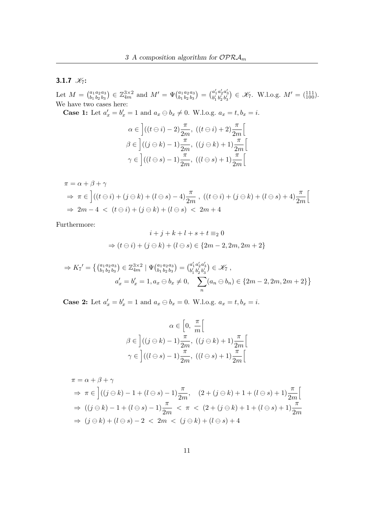#### 3.1.7  $\mathcal{K}_7$ :

Let  $M = \binom{a_1}{b_1}$  $b_1$  $a_2$  $b<sub>2</sub>$  $a_3$  $\binom{a_3}{b_3} \in \mathbb{Z}_{4m}^{3 \times 2}$  and  $M' = \Psi \binom{a_1}{b_1}$  $b_1$  $a_2$  $b<sub>2</sub>$  $a_3$  $\binom{a_3}{b_3} = \binom{a'_1}{b'_1}$  $a'_2$ <br> $b'_2$  $a'_3 \atop b'_3$   $\in \mathcal{K}_7$ . W.l.o.g.  $M' = \begin{pmatrix} 111 \\ 100 \end{pmatrix}$ . We have two cases here:

**Case 1:** Let  $a'_x = b'_x = 1$  and  $a_x \oplus b_x \neq 0$ . W.l.o.g.  $a_x = t, b_x = i$ .

$$
\alpha \in \left] ((t \ominus i) - 2) \frac{\pi}{2m}, ((t \ominus i) + 2) \frac{\pi}{2m} \right[
$$
  

$$
\beta \in \left] ((j \ominus k) - 1) \frac{\pi}{2m}, ((j \ominus k) + 1) \frac{\pi}{2m} \right[
$$
  

$$
\gamma \in \left] ((l \ominus s) - 1) \frac{\pi}{2m}, ((l \ominus s) + 1) \frac{\pi}{2m} \right[
$$

$$
\pi = \alpha + \beta + \gamma
$$
  
\n
$$
\Rightarrow \pi \in \left[ ((t \ominus i) + (j \ominus k) + (l \ominus s) - 4) \frac{\pi}{2m}, ((t \ominus i) + (j \ominus k) + (l \ominus s) + 4) \frac{\pi}{2m} \right]
$$
  
\n
$$
\Rightarrow 2m - 4 < (t \ominus i) + (j \ominus k) + (l \ominus s) < 2m + 4
$$

Furthermore:

$$
i + j + k + l + s + t \equiv_2 0
$$
  
\n
$$
\Rightarrow (t \ominus i) + (j \ominus k) + (l \ominus s) \in \{2m - 2, 2m, 2m + 2\}
$$

$$
\Rightarrow K_7' = \left\{ \begin{pmatrix} a_1 a_2 a_3 \\ b_1 b_2 b_3 \end{pmatrix} \in \mathbb{Z}_{4m}^{3 \times 2} \mid \Psi \begin{pmatrix} a_1 a_2 a_3 \\ b_1 b_2 b_3 \end{pmatrix} = \begin{pmatrix} a'_1 a'_2 a'_3 \\ b'_1 b'_2 b'_3 \end{pmatrix} \in \mathcal{K}_7 ,
$$
  

$$
a'_x = b'_x = 1, a_x \oplus b_x \neq 0, \quad \sum_n (a_n \oplus b_n) \in \{2m - 2, 2m, 2m + 2\} \right\}
$$

**Case 2:** Let  $a'_x = b'_x = 1$  and  $a_x \oplus b_x = 0$ . W.l.o.g.  $a_x = t, b_x = i$ .

$$
\alpha \in \left[0, \frac{\pi}{m}\right[
$$

$$
\beta \in \left] ((j \ominus k) - 1) \frac{\pi}{2m}, ((j \ominus k) + 1) \frac{\pi}{2m} \right[
$$

$$
\gamma \in \left] ((l \ominus s) - 1) \frac{\pi}{2m}, ((l \ominus s) + 1) \frac{\pi}{2m} \right[
$$

$$
\pi = \alpha + \beta + \gamma
$$
  
\n
$$
\Rightarrow \pi \in \left[ ((j \ominus k) - 1 + (l \ominus s) - 1) \frac{\pi}{2m}, (2 + (j \ominus k) + 1 + (l \ominus s) + 1) \frac{\pi}{2m} \right[
$$
  
\n
$$
\Rightarrow ((j \ominus k) - 1 + (l \ominus s) - 1) \frac{\pi}{2m} < \pi < (2 + (j \ominus k) + 1 + (l \ominus s) + 1) \frac{\pi}{2m}
$$
  
\n
$$
\Rightarrow (j \ominus k) + (l \ominus s) - 2 < 2m < (j \ominus k) + (l \ominus s) + 4
$$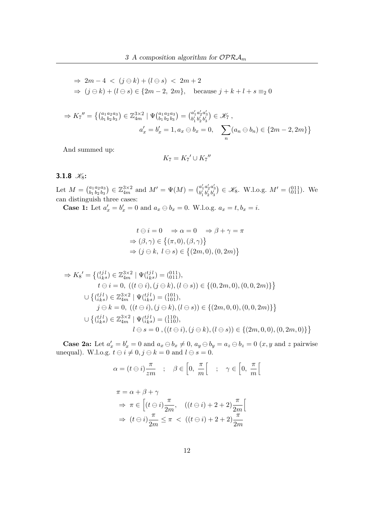$$
\Rightarrow 2m-4 < (j \ominus k) + (l \ominus s) < 2m+2
$$
  
\n
$$
\Rightarrow (j \ominus k) + (l \ominus s) \in \{2m-2, 2m\}, \text{ because } j+k+l+s \equiv_2 0
$$

$$
\Rightarrow K_7'' = \left\{ \begin{pmatrix} a_1 a_2 a_3 \\ b_1 b_2 b_3 \end{pmatrix} \in \mathbb{Z}_{4m}^{3 \times 2} \mid \Psi(a_1 a_2 a_3) = \begin{pmatrix} a'_1 a'_2 a'_3 \\ b'_1 b'_2 b'_3 \end{pmatrix} \in \mathcal{K}_7 ,
$$
  

$$
a'_x = b'_x = 1, a_x \ominus b_x = 0, \quad \sum_n (a_n \ominus b_n) \in \{2m - 2, 2m\} \right\}
$$

And summed up:

$$
K_7 = K_7' \cup K_7''
$$

#### 3.1.8  $K_8$ :

Let  $M = \binom{a_1}{b_1}$  $b_1$  $a_2$  $b<sub>2</sub>$  $a_3$  $\begin{bmatrix} a_3 \\ b_3 \end{bmatrix} \in \mathbb{Z}_{4m}^{3\times 2}$  and  $M' = \Psi(M) = \begin{bmatrix} a'_1 \\ b'_1 \end{bmatrix}$  $a'_2$ <br> $b'_2$  $a'_3 \choose b'_3} \in \mathcal{K}_8$ . W.l.o.g.  $M' = \begin{pmatrix} 0 & 1 & 1 \\ 0 & 1 & 1 \end{pmatrix}$ . We can distinguish three cases:

**Case 1:** Let  $a'_x = b'_x = 0$  and  $a_x \oplus b_x = 0$ . W.l.o.g.  $a_x = t, b_x = i$ .

$$
t \ominus i = 0 \Rightarrow \alpha = 0 \Rightarrow \beta + \gamma = \pi
$$
  
\n
$$
\Rightarrow (\beta, \gamma) \in \{ (\pi, 0), (\beta, \gamma) \}
$$
  
\n
$$
\Rightarrow (j \ominus k, l \ominus s) \in \{ (2m, 0), (0, 2m) \}
$$

$$
\Rightarrow K_{8}' = \left\{ \begin{matrix} (i j l) \\ (i k s) \end{matrix} \in \mathbb{Z}_{4m}^{3 \times 2} \mid \Psi(i k s) = \begin{matrix} (0 1 1) \\ (0 1 1) \end{matrix} \right\},
$$
  
\n
$$
t \ominus i = 0, \ ((l \ominus i), (j \ominus k), (l \ominus s)) \in \{(0, 2m, 0), (0, 0, 2m)\}\right\}
$$
  
\n
$$
\cup \left\{ \begin{matrix} (i j l) \\ (i k s) \end{matrix} \in \mathbb{Z}_{4m}^{3 \times 2} \mid \Psi(i k s) = \begin{matrix} (1 0 1) \\ (1 0 1) \end{matrix} \right\},
$$
  
\n
$$
j \ominus k = 0, \ ((l \ominus i), (j \ominus k), (l \ominus s)) \in \{(2m, 0, 0), (0, 0, 2m)\}\right\}
$$
  
\n
$$
\cup \left\{ \begin{matrix} (i j l) \\ (i k s) \end{matrix} \in \mathbb{Z}_{4m}^{3 \times 2} \mid \Psi(i k s) = \begin{matrix} (1 1 0) \\ (1 1 0) \end{matrix} \right\},
$$
  
\n
$$
l \ominus s = 0, ((l \ominus i), (j \ominus k), (l \ominus s)) \in \{(2m, 0, 0), (0, 2m, 0)\}\right\}
$$

**Case 2a:** Let  $a'_x = b'_x = 0$  and  $a_x \ominus b_x \neq 0$ ,  $a_y \ominus b_y = a_z \ominus b_z = 0$   $(x, y \text{ and } z \text{ pairwise})$ unequal). W.l.o.g.  $t \ominus i \neq 0, j \ominus k = 0$  and  $l \ominus s = 0$ .

$$
\alpha = (t \ominus i) \frac{\pi}{zm} \quad ; \quad \beta \in \left[0, \frac{\pi}{m}\right[ \quad ; \quad \gamma \in \left[0, \frac{\pi}{m}\right[
$$

$$
\pi = \alpha + \beta + \gamma
$$

$$
\Rightarrow \pi \in \left[(t \ominus i) \frac{\pi}{2m}, \quad ((t \ominus i) + 2 + 2) \frac{\pi}{2m}\right[
$$

$$
\Rightarrow (t \ominus i) \frac{\pi}{2m} \le \pi \quad < \quad ((t \ominus i) + 2 + 2) \frac{\pi}{2m}
$$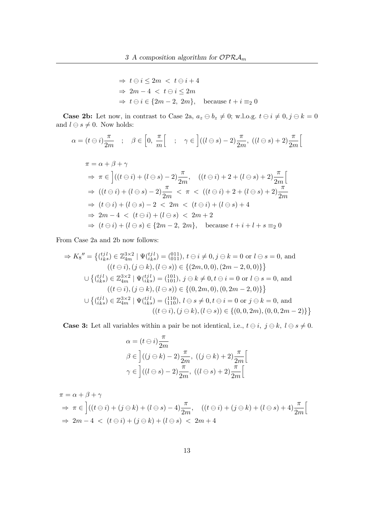$$
\Rightarrow t \ominus i \le 2m < t \ominus i + 4
$$
  
\n
$$
\Rightarrow 2m - 4 < t \ominus i \le 2m
$$
  
\n
$$
\Rightarrow t \ominus i \in \{2m - 2, 2m\}, \text{ because } t + i \equiv_2 0
$$

**Case 2b:** Let now, in contrast to Case 2a,  $a_z \ominus b_z \neq 0$ ; w.l.o.g.  $t \ominus i \neq 0, j \ominus k = 0$ and  $l \ominus s \neq 0.$  Now holds:

$$
\alpha = (t \ominus i) \frac{\pi}{2m} \quad ; \quad \beta \in \left[0, \frac{\pi}{m}\right[ \quad ; \quad \gamma \in \left] ((l \ominus s) - 2) \frac{\pi}{2m}, \ ((l \ominus s) + 2) \frac{\pi}{2m} \right[
$$

$$
\pi = \alpha + \beta + \gamma
$$
  
\n
$$
\Rightarrow \pi \in \left[ ((t \ominus i) + (l \ominus s) - 2) \frac{\pi}{2m}, ((t \ominus i) + 2 + (l \ominus s) + 2) \frac{\pi}{2m} \right]
$$
  
\n
$$
\Rightarrow ((t \ominus i) + (l \ominus s) - 2) \frac{\pi}{2m} < \pi < ((t \ominus i) + 2 + (l \ominus s) + 2) \frac{\pi}{2m}
$$
  
\n
$$
\Rightarrow (t \ominus i) + (l \ominus s) - 2 < 2m < (t \ominus i) + (l \ominus s) + 4
$$
  
\n
$$
\Rightarrow 2m - 4 < (t \ominus i) + (l \ominus s) < 2m + 2
$$
  
\n
$$
\Rightarrow (t \ominus i) + (l \ominus s) \in \{2m - 2, 2m\}, \text{ because } t + i + l + s \equiv_2 0
$$

From Case 2a and 2b now follows:

$$
\Rightarrow K_8'' = \left\{ \begin{matrix} (i\,j\,l) \\ (i\,ks) \end{matrix} \in \mathbb{Z}_{4m}^{3\times2} \mid \Psi(i\,ls) = \begin{matrix} (011) \\ 011 \end{matrix} \right\}, \ t \ominus i \neq 0, j \ominus k = 0 \text{ or } l \ominus s = 0, \text{ and}
$$
  
\n
$$
((t \ominus i), (j \ominus k), (l \ominus s)) \in \left\{ (2m, 0, 0), (2m - 2, 0, 0) \right\} \right\}
$$
  
\n
$$
\cup \left\{ \begin{matrix} (i\,j\,l) \\ (i\,ks) \end{matrix} \in \mathbb{Z}_{4m}^{3\times2} \mid \Psi(i\,ls) = \begin{matrix} (101) \\ 101 \end{matrix} \right\}, j \ominus k \neq 0, t \ominus i = 0 \text{ or } l \ominus s = 0, \text{ and}
$$
  
\n
$$
((t \ominus i), (j \ominus k), (l \ominus s)) \in \left\{ (0, 2m, 0), (0, 2m - 2, 0) \right\} \right\}
$$
  
\n
$$
\cup \left\{ \begin{matrix} (i\,l\,l) \\ (i\,ks) \end{matrix} \in \mathbb{Z}_{4m}^{3\times2} \mid \Psi(i\,ls) = \begin{matrix} (110) \\ (110) \end{matrix}, l \ominus s \neq 0, t \ominus i = 0 \text{ or } j \ominus k = 0, \text{ and}
$$
  
\n
$$
((t \ominus i), (j \ominus k), (l \ominus s)) \in \{(0, 0, 2m), (0, 0, 2m - 2)\} \right\}
$$

**Case 3:** Let all variables within a pair be not identical, i.e.,  $t \ominus i$ ,  $j \ominus k$ ,  $l \ominus s \neq 0$ .

$$
\alpha = (t \ominus i) \frac{\pi}{2m}
$$
  
\n
$$
\beta \in \left] ((j \ominus k) - 2) \frac{\pi}{2m}, ((j \ominus k) + 2) \frac{\pi}{2m} \right[
$$
  
\n
$$
\gamma \in \left] ((l \ominus s) - 2) \frac{\pi}{2m}, ((l \ominus s) + 2) \frac{\pi}{2m} \right[
$$

$$
\pi = \alpha + \beta + \gamma
$$
  
\n
$$
\Rightarrow \pi \in \left[ ((t \ominus i) + (j \ominus k) + (l \ominus s) - 4) \frac{\pi}{2m}, ((t \ominus i) + (j \ominus k) + (l \ominus s) + 4) \frac{\pi}{2m} \right[
$$
  
\n
$$
\Rightarrow 2m - 4 < (t \ominus i) + (j \ominus k) + (l \ominus s) < 2m + 4
$$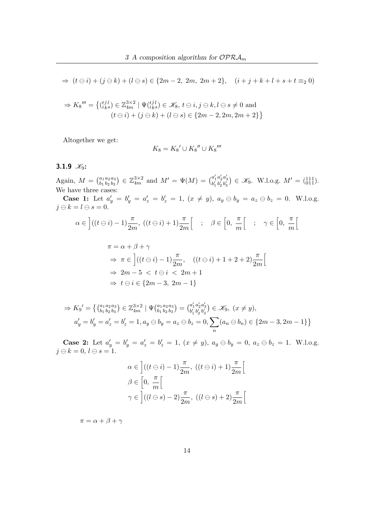$\Rightarrow$   $(t \ominus i) + (j \ominus k) + (l \ominus s) \in \{2m - 2, 2m, 2m + 2\}, \quad (i + j + k + l + s + t \equiv_2 0)$ 

$$
\Rightarrow K_8''' = \left\{ \begin{matrix} (ijl) \\ iks \end{matrix} \right\} \in \mathbb{Z}_{4m}^{3 \times 2} \mid \Psi_{(iks)}^{tjl} \in \mathcal{K}_8, t \ominus i, j \ominus k, l \ominus s \neq 0 \text{ and } (t \ominus i) + (j \ominus k) + (l \ominus s) \in \{2m - 2, 2m, 2m + 2\} \right\}
$$

Altogether we get:

$$
K_8 = K_8' \cup K_8'' \cup K_8'''
$$

#### 3.1.9  $\mathcal{K}_9$ :

Again,  $M = \begin{pmatrix} a_1 \\ b_2 \end{pmatrix}$  $b_1$  $a_2$  $b_2$  $a_3$  $\binom{a_3}{b_3} \in \mathbb{Z}_{4m}^{3 \times 2}$  and  $M' = \Psi(M) = \binom{a'_1}{b'_1}$  $a'_2$ <br> $b'_2$  $a'_3 \atop b'_3$   $\in \mathcal{K}_9$ . W.l.o.g.  $M' = \begin{pmatrix} 111 \\ 011 \end{pmatrix}$ . We have three cases:

**Case 1:** Let  $a'_y = b'_y = a'_z = b'_z = 1$ ,  $(x \neq y)$ ,  $a_y \oplus b_y = a_z \oplus b_z = 0$ . W.l.o.g.  $j \ominus k = l \ominus s = 0.$ 

$$
\alpha \in \left] ((t \ominus i) - 1) \frac{\pi}{2m}, \ ((t \ominus i) + 1) \frac{\pi}{2m} \right[ \quad ; \quad \beta \in \left[ 0, \ \frac{\pi}{m} \right[ \quad ; \quad \gamma \in \left[ 0, \ \frac{\pi}{m} \right[
$$

$$
\pi = \alpha + \beta + \gamma
$$
  
\n
$$
\Rightarrow \pi \in \left[ ((t \ominus i) - 1) \frac{\pi}{2m}, ((t \ominus i) + 1 + 2 + 2) \frac{\pi}{2m} \right]
$$
  
\n
$$
\Rightarrow 2m - 5 < t \ominus i < 2m + 1
$$
  
\n
$$
\Rightarrow t \ominus i \in \{2m - 3, 2m - 1\}
$$

$$
\Rightarrow K_9' = \left\{ \begin{pmatrix} a_1 a_2 a_3 \\ b_1 b_2 b_3 \end{pmatrix} \in \mathbb{Z}_{4m}^{3 \times 2} \mid \Psi(a_1 a_2 a_3) = \begin{pmatrix} a'_1 a'_2 a'_3 \\ b'_1 b'_2 b'_3 \end{pmatrix} \in \mathcal{K}_9, \ (x \neq y),
$$
  
\n
$$
a'_y = b'_y = a'_z = b'_z = 1, a_y \ominus b_y = a_z \ominus b_z = 0, \sum_n (a_n \ominus b_n) \in \{2m - 3, 2m - 1\} \right\}
$$

**Case 2:** Let  $a'_y = b'_y = a'_z = b'_z = 1$ ,  $(x \neq y)$ ,  $a_y \ominus b_y = 0$ ,  $a_z \ominus b_z = 1$ . W.l.o.g.  $j \ominus k = 0, l \ominus s = 1.$ 

$$
\alpha \in \left] ((t \ominus i) - 1) \frac{\pi}{2m}, ((t \ominus i) + 1) \frac{\pi}{2m} \right[
$$
  

$$
\beta \in \left[ 0, \frac{\pi}{m} \right[
$$
  

$$
\gamma \in \left] ((l \ominus s) - 2) \frac{\pi}{2m}, ((l \ominus s) + 2) \frac{\pi}{2m} \right[
$$

 $\pi = \alpha + \beta + \gamma$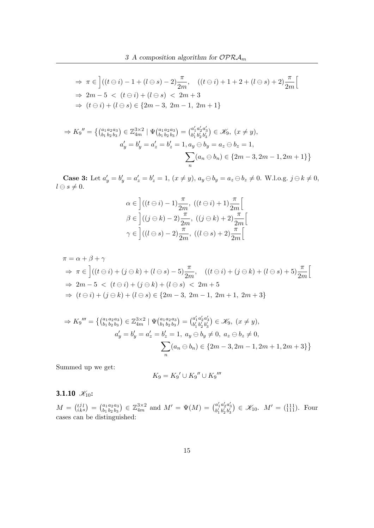$$
\Rightarrow \pi \in \left[ ((t \ominus i) - 1 + (l \ominus s) - 2) \frac{\pi}{2m}, ((t \ominus i) + 1 + 2 + (l \ominus s) + 2) \frac{\pi}{2m} \right]
$$
  
\n
$$
\Rightarrow 2m - 5 < (t \ominus i) + (l \ominus s) < 2m + 3
$$
  
\n
$$
\Rightarrow (t \ominus i) + (l \ominus s) \in \{2m - 3, 2m - 1, 2m + 1\}
$$

$$
\Rightarrow K_9'' = \left\{ \begin{pmatrix} a_1 a_2 a_3 \\ b_1 b_2 b_3 \end{pmatrix} \in \mathbb{Z}_{4m}^{3 \times 2} \mid \Psi(a_1 a_2 a_3) = \begin{pmatrix} a'_1 a'_2 a'_3 \\ b'_1 b'_2 b'_3 \end{pmatrix} \in \mathcal{K}_9, \ (x \neq y),
$$
  

$$
a'_y = b'_y = a'_z = b'_z = 1, a_y \ominus b_y = a_z \ominus b_z = 1,
$$
  

$$
\sum_n (a_n \ominus b_n) \in \{2m - 3, 2m - 1, 2m + 1\} \right\}
$$

**Case 3:** Let  $a'_y = b'_y = a'_z = b'_z = 1$ ,  $(x \neq y)$ ,  $a_y \ominus b_y = a_z \ominus b_z \neq 0$ . W.l.o.g.  $j \ominus k \neq 0$ ,  $l \ominus s \neq 0.$ 

$$
\alpha \in \left] ((t \ominus i) - 1) \frac{\pi}{2m}, ((t \ominus i) + 1) \frac{\pi}{2m} \right[
$$
  

$$
\beta \in \left] ((j \ominus k) - 2) \frac{\pi}{2m}, ((j \ominus k) + 2) \frac{\pi}{2m} \right[
$$
  

$$
\gamma \in \left] ((l \ominus s) - 2) \frac{\pi}{2m}, ((l \ominus s) + 2) \frac{\pi}{2m} \right[
$$

$$
\pi = \alpha + \beta + \gamma
$$
  
\n
$$
\Rightarrow \pi \in \left[ ((t \ominus i) + (j \ominus k) + (l \ominus s) - 5) \frac{\pi}{2m}, ((t \ominus i) + (j \ominus k) + (l \ominus s) + 5) \frac{\pi}{2m} \right]
$$
  
\n
$$
\Rightarrow 2m - 5 < (t \ominus i) + (j \ominus k) + (l \ominus s) < 2m + 5
$$
  
\n
$$
\Rightarrow (t \ominus i) + (j \ominus k) + (l \ominus s) \in \{2m - 3, 2m - 1, 2m + 1, 2m + 3\}
$$

$$
\Rightarrow K_9''' = \left\{ {a_1 a_2 a_3 \choose b_1 b_2 b_3} \in \mathbb{Z}_{4m}^{3 \times 2} \mid \Psi({a_1 a_2 a_3 \choose b_1 b_2 b_3}) = {a'_1 a'_2 a'_3 \choose b'_1 b'_2 b'_3} \in \mathcal{K}_9, (x \neq y),
$$
  
\n
$$
a'_y = b'_y = a'_z = b'_z = 1, a_y \ominus b_y \neq 0, a_z \ominus b_z \neq 0,
$$
  
\n
$$
\sum_n (a_n \ominus b_n) \in \{2m - 3, 2m - 1, 2m + 1, 2m + 3\}
$$

Summed up we get:

$$
K_9 = K_9' \cup K_9'' \cup K_9'''
$$

3.1.10  $\mathcal{K}_{10}$ :

 $M = \begin{pmatrix} t \\ i \end{pmatrix}$ j  $\binom{j\,l}{k\,s} = \binom{a_1}{b_1}$  $b_1$  $a_2$  $b<sub>2</sub>$  $a_3$  $\binom{a_3}{b_3} \in \mathbb{Z}_{4m}^{3 \times 2}$  and  $M' = \Psi(M) = \binom{a'_1}{b'_1}$  $a'_2$ <br> $b'_2$  $a'_{3} \choose b'_{3}$   $\in \mathscr{K}_{10}$ .  $M' = \begin{pmatrix} 111 \\ 111 \end{pmatrix}$ . Four cases can be distinguished: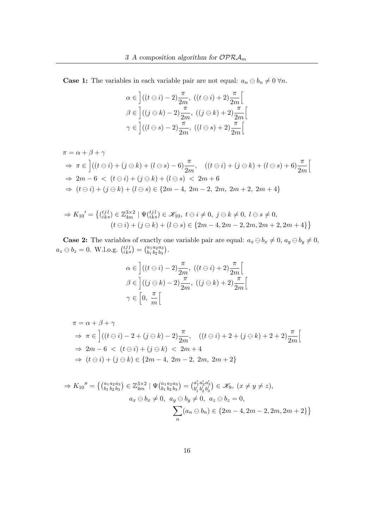**Case 1:** The variables in each variable pair are not equal:  $a_n \ominus b_n \neq 0 \forall n$ .

$$
\alpha \in \left] ((t \ominus i) - 2) \frac{\pi}{2m}, ((t \ominus i) + 2) \frac{\pi}{2m} \right[
$$
  

$$
\beta \in \left] ((j \ominus k) - 2) \frac{\pi}{2m}, ((j \ominus k) + 2) \frac{\pi}{2m} \right[
$$
  

$$
\gamma \in \left] ((l \ominus s) - 2) \frac{\pi}{2m}, ((l \ominus s) + 2) \frac{\pi}{2m} \right[
$$

$$
\pi = \alpha + \beta + \gamma
$$
  
\n
$$
\Rightarrow \pi \in \left[ ((t \ominus i) + (j \ominus k) + (l \ominus s) - 6) \frac{\pi}{2m}, ((t \ominus i) + (j \ominus k) + (l \ominus s) + 6) \frac{\pi}{2m} \right]
$$
  
\n
$$
\Rightarrow 2m - 6 < (t \ominus i) + (j \ominus k) + (l \ominus s) < 2m + 6
$$
  
\n
$$
\Rightarrow (t \ominus i) + (j \ominus k) + (l \ominus s) \in \{2m - 4, 2m - 2, 2m, 2m + 2, 2m + 4\}
$$

$$
\Rightarrow K_{10}' = \left\{ \begin{matrix} i j l \\ i k s \end{matrix} \right\} \in \mathbb{Z}_{4m}^{3 \times 2} \mid \Psi_{i k s}^{t j l} \in \mathcal{K}_{10}, \ t \ominus i \neq 0, \ j \ominus k \neq 0, \ l \ominus s \neq 0, \ (t \ominus i) + (j \ominus k) + (l \ominus s) \in \{2m - 4, 2m - 2, 2m, 2m + 2, 2m + 4\} \right\}
$$

**Case 2:** The variables of exactly one variable pair are equal:  $a_x \ominus b_x \neq 0$ ,  $a_y \ominus b_y \neq 0$ ,  $a_z \ominus b_z = 0$ . W.l.o.g.  $\binom{t}{i}$ j  $\binom{j\,l}{k\,s} = \binom{a_1}{b_1}$  $b_1$  $a_2$  $b<sub>2</sub>$  $a_3$  $\begin{array}{c} a_3\ b_3 \end{array}$ ).

$$
\alpha \in \left] ((t \ominus i) - 2) \frac{\pi}{2m}, ((t \ominus i) + 2) \frac{\pi}{2m} \right[
$$
  

$$
\beta \in \left] ((j \ominus k) - 2) \frac{\pi}{2m}, ((j \ominus k) + 2) \frac{\pi}{2m} \right[
$$
  

$$
\gamma \in \left[ 0, \frac{\pi}{m} \right[
$$

$$
\pi = \alpha + \beta + \gamma
$$
  
\n
$$
\Rightarrow \pi \in \left[ ((t \ominus i) - 2 + (j \ominus k) - 2) \frac{\pi}{2m}, ((t \ominus i) + 2 + (j \ominus k) + 2 + 2) \frac{\pi}{2m} \right]
$$
  
\n
$$
\Rightarrow 2m - 6 < (t \ominus i) + (j \ominus k) < 2m + 4
$$
  
\n
$$
\Rightarrow (t \ominus i) + (j \ominus k) \in \{2m - 4, 2m - 2, 2m, 2m + 2\}
$$

$$
\Rightarrow K_{10}'' = \left\{ \begin{pmatrix} a_1 a_2 a_3 \\ b_1 b_2 b_3 \end{pmatrix} \in \mathbb{Z}_{4m}^{3 \times 2} \mid \Psi \begin{pmatrix} a_1 a_2 a_3 \\ b_1 b_2 b_3 \end{pmatrix} = \begin{pmatrix} a'_1 a'_2 a'_3 \\ b'_1 b'_2 b'_3 \end{pmatrix} \in \mathcal{K}_9, \ (x \neq y \neq z),
$$
  

$$
a_x \ominus b_x \neq 0, \ a_y \ominus b_y \neq 0, \ a_z \ominus b_z = 0,
$$
  

$$
\sum_n (a_n \ominus b_n) \in \{2m - 4, 2m - 2, 2m, 2m + 2\} \right\}
$$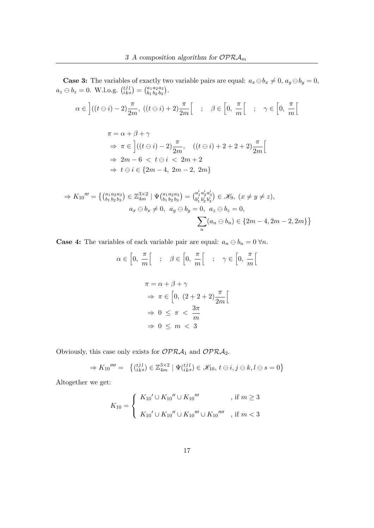**Case 3:** The variables of exactly two variable pairs are equal:  $a_x \ominus b_x \neq 0$ ,  $a_y \ominus b_y = 0$ ,  $a_z \ominus b_z = 0$ . W.l.o.g.  $\binom{t}{i}$ j  $\binom{j\,l}{k\,s} = \binom{a_1}{b_1}$  $b_1$  $a_2$  $b<sub>2</sub>$  $a_3$  $\begin{array}{c} a_3\ b_3 \end{array}$ ).

$$
\alpha \in \left] ((t \ominus i) - 2) \frac{\pi}{2m}, \ ((t \ominus i) + 2) \frac{\pi}{2m} \right[ \quad ; \quad \beta \in \left[ 0, \ \frac{\pi}{m} \right[ \quad ; \quad \gamma \in \left[ 0, \ \frac{\pi}{m} \right[
$$

$$
\pi = \alpha + \beta + \gamma
$$
  
\n
$$
\Rightarrow \pi \in \left[ ((t \ominus i) - 2) \frac{\pi}{2m}, ((t \ominus i) + 2 + 2 + 2) \frac{\pi}{2m} \right]
$$
  
\n
$$
\Rightarrow 2m - 6 < t \ominus i < 2m + 2
$$
  
\n
$$
\Rightarrow t \ominus i \in \{2m - 4, 2m - 2, 2m\}
$$

$$
\Rightarrow K_{10}''' = \left\{ \begin{array}{l} (a_1 a_2 a_3) \\ b_1 b_2 b_3 \end{array} \right\} \in \mathbb{Z}_{4m}^{3 \times 2} \mid \Psi(a_1 a_2 a_3) = \begin{pmatrix} a'_1 a'_2 a'_3 \\ b'_1 b'_2 b'_3 \end{pmatrix} \in \mathcal{K}_9, \ (x \neq y \neq z),
$$
  

$$
a_x \ominus b_x \neq 0, \ a_y \ominus b_y = 0, \ a_z \ominus b_z = 0,
$$
  

$$
\sum_n (a_n \ominus b_n) \in \{2m - 4, 2m - 2, 2m\} \}
$$

**Case 4:** The variables of each variable pair are equal:  $a_n \ominus b_n = 0 \,\forall n$ .

$$
\alpha \in \left[0, \frac{\pi}{m}\right] \quad ; \quad \beta \in \left[0, \frac{\pi}{m}\right] \quad ; \quad \gamma \in \left[0, \frac{\pi}{m}\right]
$$
\n
$$
\pi = \alpha + \beta + \gamma
$$
\n
$$
\Rightarrow \pi \in \left[0, (2+2+2)\frac{\pi}{2m}\right]
$$
\n
$$
\Rightarrow 0 \le \pi < \frac{3\pi}{m}
$$
\n
$$
\Rightarrow 0 \le m < 3
$$

Obviously, this case only exists for  $\mathcal{OPRA}_1$  and  $\mathcal{OPRA}_2$ .

$$
\Rightarrow K_{10}^{\prime\prime\prime\prime} = \left\{ \begin{pmatrix} t^{j} l \\ i_{k} s \end{pmatrix} \in \mathbb{Z}_{4m}^{3 \times 2} \mid \Psi(t^{j} l) \in \mathcal{K}_{10}, t \ominus i, j \ominus k, l \ominus s = 0 \right\}
$$

Altogether we get:

$$
K_{10} = \begin{cases} K_{10}{}' \cup K_{10}{}'' \cup K_{10}{}''' & , \text{ if } m \geq 3 \\ K_{10}{}' \cup K_{10}{}'' \cup K_{10}{}''' \cup K_{10}{}''' & , \text{ if } m < 3 \end{cases}
$$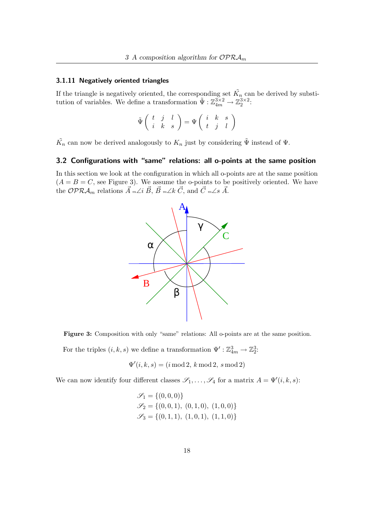#### 3.1.11 Negatively oriented triangles

If the triangle is negatively oriented, the corresponding set  $\tilde{K_n}$  can be derived by substitution of variables. We define a transformation  $\tilde{\Psi}: \mathbb{Z}_{4m}^{3\times 2} \to \mathbb{Z}_2^{3\times 2}$ :

$$
\tilde{\Psi}\left(\begin{array}{ccc} t & j & l \\ i & k & s \end{array}\right)=\Psi\left(\begin{array}{ccc} i & k & s \\ t & j & l \end{array}\right)
$$

 $\tilde{K_n}$  can now be derived analogously to  $K_n$  just by considering  $\tilde{\Psi}$  instead of  $\Psi$ .

#### 3.2 Configurations with "same" relations: all o-points at the same position

In this section we look at the configuration in which all o-points are at the same position  $(A = B = C$ , see Figure 3). We assume the o-points to be positively oriented. We have the OPR $\mathcal{A}_m$  relations  $\vec{A}$  m∠i  $\vec{B}$ ,  $\vec{B}$  m∠k  $\vec{C}$ , and  $\vec{C}$  m∠s  $\vec{A}$ .



Figure 3: Composition with only "same" relations: All o-points are at the same position.

For the triples  $(i, k, s)$  we define a transformation  $\Psi' : \mathbb{Z}_{4m}^3 \to \mathbb{Z}_2^3$ :

$$
\Psi'(i,k,s) = (i \bmod 2, k \bmod 2, s \bmod 2)
$$

We can now identify four different classes  $\mathscr{S}_1, \ldots, \mathscr{S}_4$  for a matrix  $A = \Psi'(i, k, s)$ :

$$
\mathcal{S}_1 = \{ (0,0,0) \}
$$
  
\n
$$
\mathcal{S}_2 = \{ (0,0,1), (0,1,0), (1,0,0) \}
$$
  
\n
$$
\mathcal{S}_3 = \{ (0,1,1), (1,0,1), (1,1,0) \}
$$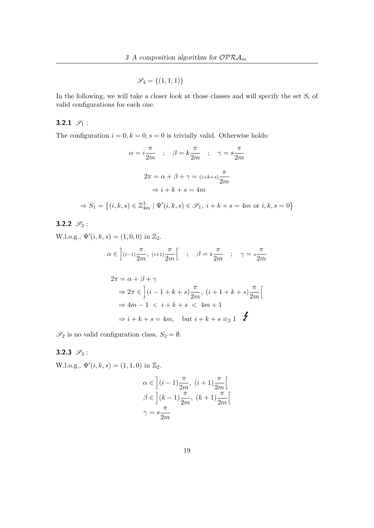$\mathscr{S}_4 = \{(1,1,1)\}\$ 

In the following, we will take a closer look at those classes and will specify the set  $S_i$  of valid configurations for each one.

## 3.2.1  $\mathscr{S}_1$  :

The configuration  $i = 0, k = 0, s = 0$  is trivially valid. Otherwise holds:

$$
\alpha = i \frac{\pi}{2m} \quad ; \quad \beta = k \frac{\pi}{2m} \quad ; \quad \gamma = s \frac{\pi}{2m}
$$
\n
$$
2\pi = \alpha + \beta + \gamma = (i+k+s) \frac{\pi}{2m}
$$
\n
$$
\Rightarrow i + k + s = 4m
$$

$$
\Rightarrow S_1 = \left\{ (i, k, s) \in \mathbb{Z}_{4m}^3 \mid \Psi'(i, k, s) \in \mathcal{S}_1, i + k + s = 4m \text{ or } i, k, s = 0 \right\}
$$

3.2.2  $\mathscr{S}_2$  :

W.l.o.g.,  $\Psi'(i, k, s) = (1, 0, 0)$  in  $\mathbb{Z}_2$ .

$$
\alpha \in \left] (i-1)\frac{\pi}{2m}, \ (i+1)\frac{\pi}{2m} \right[ \quad ; \quad \beta = k\frac{\pi}{2m} \quad ; \quad \gamma = s\frac{\pi}{2m}
$$

$$
2\pi = \alpha + \beta + \gamma
$$
  
\n
$$
\Rightarrow 2\pi \in \left[ (i - 1 + k + s) \frac{\pi}{2m}, (i + 1 + k + s) \frac{\pi}{2m} \right[
$$
  
\n
$$
\Rightarrow 4m - 1 < i + k + s < 4m + 1
$$
  
\n
$$
\Rightarrow i + k + s = 4m, \text{ but } i + k + s = 2 \quad \blacktriangleright
$$

 $\mathscr{S}_2$  is no valid configuration class,  $S_2 = \emptyset$ .

#### 3.2.3  $\mathscr{S}_3$ :

W.l.o.g.,  $\Psi'(i, k, s) = (1, 1, 0)$  in  $\mathbb{Z}_2$ .

$$
\alpha \in \left] (i-1) \frac{\pi}{2m}, (i+1) \frac{\pi}{2m} \right[
$$
  

$$
\beta \in \left] (k-1) \frac{\pi}{2m}, (k+1) \frac{\pi}{2m} \right[
$$
  

$$
\gamma = s \frac{\pi}{2m}
$$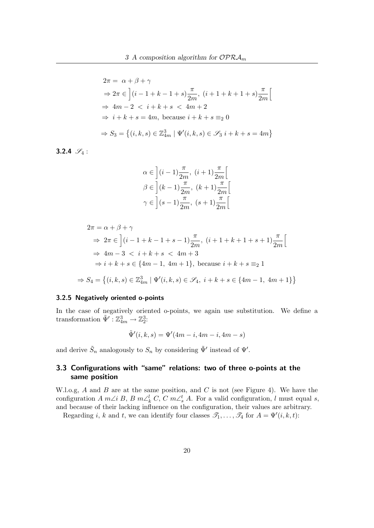$$
2\pi = \alpha + \beta + \gamma
$$
  
\n
$$
\Rightarrow 2\pi \in \left[ (i - 1 + k - 1 + s) \frac{\pi}{2m}, (i + 1 + k + 1 + s) \frac{\pi}{2m} \right[
$$
  
\n
$$
\Rightarrow 4m - 2 < i + k + s < 4m + 2
$$
  
\n
$$
\Rightarrow i + k + s = 4m, \text{ because } i + k + s \equiv_2 0
$$
  
\n
$$
\Rightarrow S_3 = \left\{ (i, k, s) \in \mathbb{Z}_{4m}^3 \mid \Psi'(i, k, s) \in \mathcal{S}_3 \, i + k + s = 4m \right\}
$$

3.2.4  $\mathscr{S}_4$  :

$$
\begin{aligned} &\alpha\in\left](i-1)\frac{\pi}{2m},\;(i+1)\frac{\pi}{2m}\right[\\ &\beta\in\left](k-1)\frac{\pi}{2m},\;(k+1)\frac{\pi}{2m}\right[\\ &\gamma\in\left](s-1)\frac{\pi}{2m},\;(s+1)\frac{\pi}{2m}\right[ \end{aligned}
$$

$$
2\pi = \alpha + \beta + \gamma
$$
  
\n
$$
\Rightarrow 2\pi \in \left[ (i - 1 + k - 1 + s - 1) \frac{\pi}{2m}, (i + 1 + k + 1 + s + 1) \frac{\pi}{2m} \right[
$$
  
\n
$$
\Rightarrow 4m - 3 < i + k + s < 4m + 3
$$
  
\n
$$
\Rightarrow i + k + s \in \{4m - 1, 4m + 1\}, \text{ because } i + k + s \equiv_2 1
$$
  
\n
$$
\Rightarrow S_4 = \{ (i, k, s) \in \mathbb{Z}_{4m}^3 \mid \Psi'(i, k, s) \in \mathcal{S}_4, i + k + s \in \{4m - 1, 4m + 1\} \}
$$

#### 3.2.5 Negatively oriented o-points

In the case of negatively oriented o-points, we again use substitution. We define a transformation  $\tilde{\Psi}' : \mathbb{Z}_{4m}^3 \to \mathbb{Z}_2^3$ :

$$
\tilde{\Psi}'(i,k,s) = \Psi'(4m-i, 4m-i, 4m-s)
$$

and derive  $\tilde{S}_n$  analogously to  $S_n$  by considering  $\tilde{\Psi}'$  instead of  $\Psi'$ .

## 3.3 Configurations with "same" relations: two of three o-points at the same position

W.l.o.g,  $A$  and  $B$  are at the same position, and  $C$  is not (see Figure 4). We have the configuration  $A m \angle i B$ ,  $B m \angle k^l$ ,  $C$ ,  $C m \angle s^t$ ,  $A$ . For a valid configuration, l must equal s, and because of their lacking influence on the configuration, their values are arbitrary.

Regarding *i*, *k* and *t*, we can identify four classes  $\mathcal{T}_1, \ldots, \mathcal{T}_4$  for  $A = \Psi'(i, k, t)$ :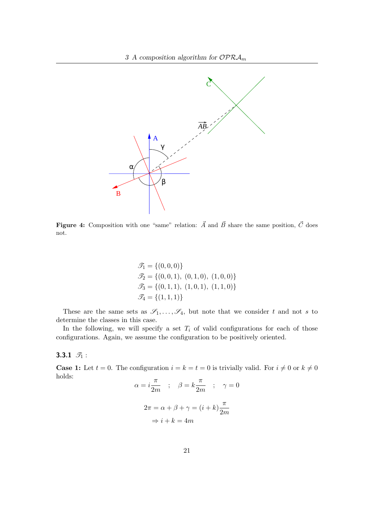

**Figure 4:** Composition with one "same" relation:  $\vec{A}$  and  $\vec{B}$  share the same position,  $\vec{C}$  does not.

$$
\mathcal{T}_1 = \{ (0,0,0) \}
$$
  
\n
$$
\mathcal{T}_2 = \{ (0,0,1), (0,1,0), (1,0,0) \}
$$
  
\n
$$
\mathcal{T}_3 = \{ (0,1,1), (1,0,1), (1,1,0) \}
$$
  
\n
$$
\mathcal{T}_4 = \{ (1,1,1) \}
$$

These are the same sets as  $\mathscr{S}_1,\ldots,\mathscr{S}_4$ , but note that we consider t and not s to determine the classes in this case.

In the following, we will specify a set  $T_i$  of valid configurations for each of those configurations. Again, we assume the configuration to be positively oriented.

## 3.3.1  $\mathcal{T}_1$  :

**Case 1:** Let  $t = 0$ . The configuration  $i = k = t = 0$  is trivially valid. For  $i \neq 0$  or  $k \neq 0$ holds:

$$
\alpha = i \frac{\pi}{2m} \quad ; \quad \beta = k \frac{\pi}{2m} \quad ; \quad \gamma = 0
$$

$$
2\pi = \alpha + \beta + \gamma = (i + k) \frac{\pi}{2m}
$$

$$
\Rightarrow i + k = 4m
$$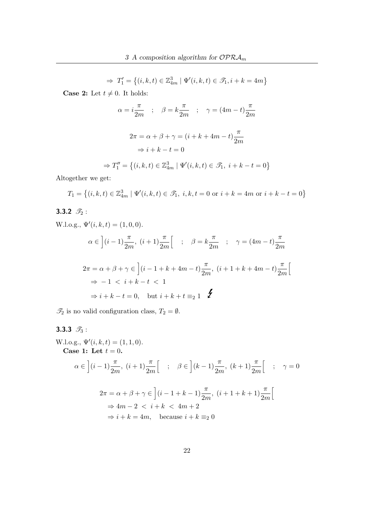$$
\Rightarrow T_1' = \left\{ (i, k, t) \in \mathbb{Z}_{4m}^3 \mid \Psi'(i, k, t) \in \mathcal{F}_1, i + k = 4m \right\}
$$

**Case 2:** Let  $t \neq 0$ . It holds:

$$
\alpha = i\frac{\pi}{2m} \quad ; \quad \beta = k\frac{\pi}{2m} \quad ; \quad \gamma = (4m - t)\frac{\pi}{2m}
$$
\n
$$
2\pi = \alpha + \beta + \gamma = (i + k + 4m - t)\frac{\pi}{2m}
$$
\n
$$
\Rightarrow i + k - t = 0
$$

$$
\Rightarrow T_1'' = \{(i, k, t) \in \mathbb{Z}_{4m}^3 \mid \Psi'(i, k, t) \in \mathcal{F}_1, i + k - t = 0\}
$$

Altogether we get:

$$
T_1 = \left\{ (i, k, t) \in \mathbb{Z}_{4m}^3 \mid \Psi'(i, k, t) \in \mathcal{F}_1, \ i, k, t = 0 \text{ or } i + k = 4m \text{ or } i + k - t = 0 \right\}
$$

## 3.3.2  $\mathscr{T}_2$  :

W.l.o.g., 
$$
\Psi'(i,k,t) = (1,0,0).
$$
  
\n
$$
\alpha \in \left] (i-1) \frac{\pi}{2m}, (i+1) \frac{\pi}{2m} \right[ ; \beta = k \frac{\pi}{2m} ; \gamma = (4m-t) \frac{\pi}{2m}
$$
\n
$$
2\pi = \alpha + \beta + \gamma \in \left] (i-1+k+4m-t) \frac{\pi}{2m}, (i+1+k+4m-t) \frac{\pi}{2m} \right[
$$
\n
$$
\Rightarrow -1 < i+k-t < 1
$$
\n
$$
\Rightarrow i+k-t = 0, \text{ but } i+k+t \equiv_2 1 \blacktriangleleft
$$

 $\mathcal{T}_2$  is no valid configuration class,  $T_2 = \emptyset$ .

## 3.3.3  $\mathscr{T}_3$  :

W.l.o.g.,  $\Psi'(i, k, t) = (1, 1, 0).$ Case 1: Let  $t = 0$ .  $\alpha \in \left] (i-1) \frac{\pi}{2m}, \ (i+1) \frac{\pi}{2m} \right]$  $\left[\quad;\quad\beta\in\left](k-1)\frac{\pi}{2m},\;(k+1)\frac{\pi}{2m}\right.$  $\left[\begin{array}{cc} \cdot & \gamma = 0 \end{array}\right]$  $2\pi = \alpha + \beta + \gamma \in \left] (i - 1 + k - 1) \frac{\pi}{2m}, \ (i + 1 + k + 1) \frac{\pi}{2m} \right]$  $\sqrt{ }$  $\Rightarrow 4m - 2 \; < \; i + k \; < \; 4m + 2$  $\Rightarrow i + k = 4m$ , because  $i + k \equiv_2 0$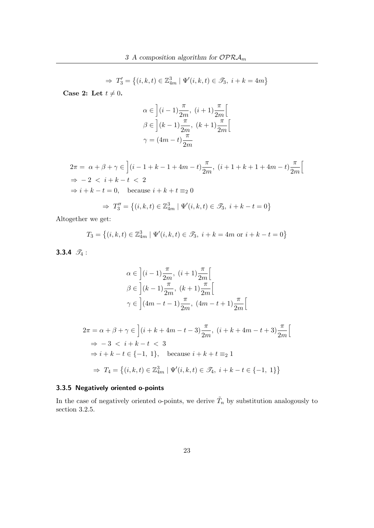$$
\Rightarrow T_3' = \{(i, k, t) \in \mathbb{Z}_{4m}^3 \mid \Psi'(i, k, t) \in \mathcal{F}_3, i + k = 4m\}
$$

Case 2: Let  $t \neq 0$ .

$$
\alpha \in \left] (i-1) \frac{\pi}{2m}, (i+1) \frac{\pi}{2m} \right[
$$
  

$$
\beta \in \left] (k-1) \frac{\pi}{2m}, (k+1) \frac{\pi}{2m} \right[
$$
  

$$
\gamma = (4m-t) \frac{\pi}{2m}
$$

$$
2\pi = \alpha + \beta + \gamma \in \left[ (i - 1 + k - 1 + 4m - t) \frac{\pi}{2m}, (i + 1 + k + 1 + 4m - t) \frac{\pi}{2m} \right]
$$
  
\n
$$
\Rightarrow -2 < i + k - t < 2
$$
  
\n
$$
\Rightarrow i + k - t = 0, \quad \text{because } i + k + t \equiv_2 0
$$

$$
\Rightarrow T_3'' = \{(i, k, t) \in \mathbb{Z}_{4m}^3 \mid \Psi'(i, k, t) \in \mathcal{F}_3, i + k - t = 0\}
$$

Altogether we get:

$$
T_3 = \{(i, k, t) \in \mathbb{Z}_{4m}^3 \mid \Psi'(i, k, t) \in \mathcal{I}_3, i + k = 4m \text{ or } i + k - t = 0\}
$$

3.3.4  $\mathscr{T}_4$  :

$$
\alpha \in \left] (i-1) \frac{\pi}{2m}, (i+1) \frac{\pi}{2m} \right[
$$
  

$$
\beta \in \left] (k-1) \frac{\pi}{2m}, (k+1) \frac{\pi}{2m} \right[
$$
  

$$
\gamma \in \left] (4m-t-1) \frac{\pi}{2m}, (4m-t+1) \frac{\pi}{2m} \right[
$$

$$
2\pi = \alpha + \beta + \gamma \in \left] (i + k + 4m - t - 3) \frac{\pi}{2m}, (i + k + 4m - t + 3) \frac{\pi}{2m} \right[
$$
  
\n
$$
\Rightarrow -3 < i + k - t < 3
$$
  
\n
$$
\Rightarrow i + k - t \in \{-1, 1\}, \text{ because } i + k + t \equiv_2 1
$$
  
\n
$$
\Rightarrow T_4 = \left\{ (i, k, t) \in \mathbb{Z}_{4m}^3 \mid \Psi'(i, k, t) \in \mathcal{I}_4, i + k - t \in \{-1, 1\} \right\}
$$

## 3.3.5 Negatively oriented o-points

In the case of negatively oriented o-points, we derive  $\tilde{T}_n$  by substitution analogously to section 3.2.5.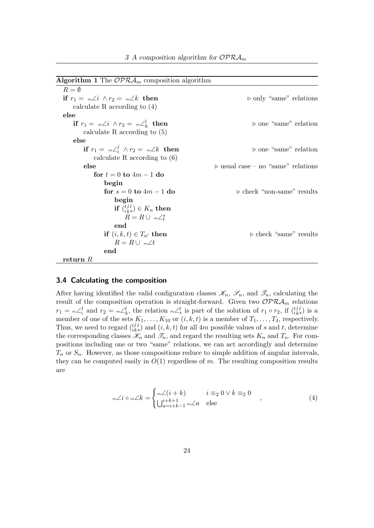| <b>Algorithm 1</b> The $OPRA_m$ composition algorithm |                                                   |
|-------------------------------------------------------|---------------------------------------------------|
| $R = \emptyset$                                       |                                                   |
| if $r_1 = m\angle i \wedge r_2 = m\angle k$ then      | $\triangleright$ only "same" relations            |
| calculate R according to $(4)$                        |                                                   |
| else                                                  |                                                   |
| if $r_1 = m\angle i \wedge r_2 = m\angle k$ then      | $\triangleright$ one "same" relation              |
| calculate R according to $(5)$                        |                                                   |
| else                                                  |                                                   |
| if $r_1 = m\angle_i^j \wedge r_2 = m\angle k$ then    | $\triangleright$ one "same" relation              |
| calculate R according to $(6)$                        |                                                   |
| else                                                  | $\triangleright$ usual case – no "same" relations |
| for $t = 0$ to $4m - 1$ do                            |                                                   |
| begin                                                 |                                                   |
| for $s = 0$ to $4m - 1$ do                            | $\triangleright$ check "non-same" results         |
| begin                                                 |                                                   |
| if $\binom{tjl}{iks} \in K_n$ then                    |                                                   |
| $R = R \cup m \angle^s_t$                             |                                                   |
| end                                                   |                                                   |
| if $(i, k, t) \in T_{n'}$ then                        | $\triangleright$ check "same" results             |
| $R = R \cup Mm \angle t$                              |                                                   |
| end                                                   |                                                   |
| return $R$                                            |                                                   |

#### 3.4 Calculating the composition

After having identified the valid configuration classes  $\mathscr{K}_n$ ,  $\mathscr{S}_n$ , and  $\mathscr{T}_n$ , calculating the result of the composition operation is straight-forward. Given two  $\mathcal{OPRA}_m$  relations  $r_1 = {}_m\angle_i^j$  $i_l^j$  and  $r_2 = {}_{m}\angle_k^l$ , the relation  ${}_{m}\angle_s^t$  is part of the solution of  $r_1 \circ r_2$ , if  $\binom{l}{i}$ j  $\binom{j\,l}{k\,s}$  is a member of one of the sets  $K_1, \ldots, K_{10}$  or  $(i, k, t)$  is a member of  $T_1, \ldots, T_4$ , respectively. Thus, we need to regard  $\binom{t}{i}$ j  $\lambda_{ks}^{j,l}$  and  $(i, k, t)$  for all 4m possible values of s and t, determine the corresponding classes  $\mathscr{K}_n$  and  $\mathscr{T}_n$ , and regard the resulting sets  $K_n$  and  $T_n$ . For compositions including one or two "same" relations, we can act accordingly and determine  $T_n$  or  $S_n$ . However, as those compositions reduce to simple addition of angular intervals, they can be computed easily in  $O(1)$  regardless of m. The resulting composition results are

$$
\mathcal{L} i \circ \mathcal{L} k = \begin{cases} \mathcal{L}(i+k) & i \equiv_2 0 \lor k \equiv_2 0 \\ \bigcup_{a=i+k-1}^{i+k+1} \mathcal{L} a & \text{else} \end{cases} \tag{4}
$$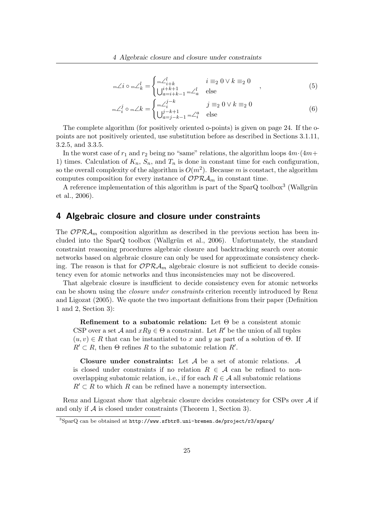$$
\mathbb{E}[X] = \begin{cases} \mathbb{E}[X] & i \equiv_2 0 \lor k \equiv_2 0 \\ \bigcup_{a=i+k-1}^{i+k+1} \mathbb{E}[X] & \text{else} \end{cases} (5)
$$

$$
{}_{m}\angle_{i}^{j} \circ {}_{m}\angle k = \begin{cases} {}_{m}\angle_{i}^{j-k} & j \equiv_{2} 0 \vee k \equiv_{2} 0 \\ \bigcup_{a=j-k-1}^{j-k+1} {}_{m}\angle_{i}^{a} & \text{else} \end{cases}
$$
(6)

The complete algorithm (for positively oriented o-points) is given on page 24. If the opoints are not positively oriented, use substitution before as described in Sections 3.1.11, 3.2.5, and 3.3.5.

In the worst case of  $r_1$  and  $r_2$  being no "same" relations, the algorithm loops  $4m \cdot (4m+$ 1) times. Calculation of  $K_n$ ,  $S_n$ , and  $T_n$  is done in constant time for each configuration, so the overall complexity of the algorithm is  $O(m^2)$ . Because m is constact, the algorithm computes composition for every instance of  $\mathcal{OPRA}_m$  in constant time.

A reference implementation of this algorithm is part of the  $SparQ$  toolbox<sup>3</sup> (Wallgrün et al., 2006).

## 4 Algebraic closure and closure under constraints

The  $OPRA<sub>m</sub>$  composition algorithm as described in the previous section has been included into the  $SparQ$  toolbox (Wallgrün et al., 2006). Unfortunately, the standard constraint reasoning procedures algebraic closure and backtracking search over atomic networks based on algebraic closure can only be used for approximate consistency checking. The reason is that for  $\mathcal{OPRA}_m$  algebraic closure is not sufficient to decide consistency even for atomic networks and thus inconsistencies may not be discovered.

That algebraic closure is insufficient to decide consistency even for atomic networks can be shown using the closure under constraints criterion recently introduced by Renz and Ligozat (2005). We quote the two important definitions from their paper (Definition 1 and 2, Section 3):

Refinement to a subatomic relation: Let  $\Theta$  be a consistent atomic CSP over a set A and  $xRy \in \Theta$  a constraint. Let R' be the union of all tuples  $(u, v) \in R$  that can be instantiated to x and y as part of a solution of  $\Theta$ . If  $R' \subset R$ , then  $\Theta$  refines R to the subatomic relation  $R'$ .

Closure under constraints: Let A be a set of atomic relations. A is closed under constraints if no relation  $R \in \mathcal{A}$  can be refined to nonoverlapping subatomic relation, i.e., if for each  $R \in \mathcal{A}$  all subatomic relations  $R' \subset R$  to which R can be refined have a nonempty intersection.

Renz and Ligozat show that algebraic closure decides consistency for CSPs over  $A$  if and only if  $A$  is closed under constraints (Theorem 1, Section 3).

<sup>3</sup>SparQ can be obtained at http://www.sfbtr8.uni-bremen.de/project/r3/sparq/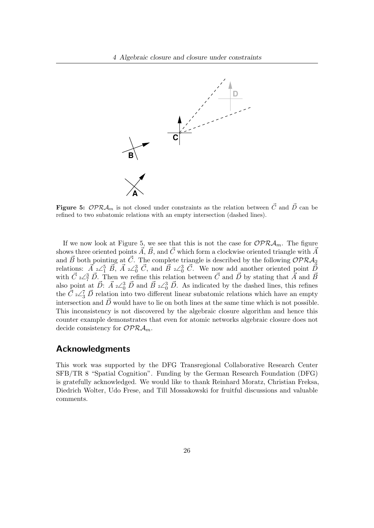

**Figure 5:** OPR $\mathcal{A}_m$  is not closed under constraints as the relation between  $\vec{C}$  and  $\vec{D}$  can be refined to two subatomic relations with an empty intersection (dashed lines).

If we now look at Figure 5, we see that this is not the case for  $\mathcal{OPRA}_m$ . The figure shows three oriented points  $\vec{A}$ ,  $\vec{B}$ , and  $\vec{C}$  which form a clockwise oriented triangle with  $\vec{A}$ and  $\vec{B}$  both pointing at  $\vec{C}$ . The complete triangle is described by the following  $\mathcal{OPRA}_2$ relations:  $\vec{A}_2 \angle_1^5$   $\vec{B}$ ,  $\vec{A}_3 \angle_0^3$   $\vec{C}$ , and  $\vec{B}_3 \angle_0^3$   $\vec{C}$ . We now add another oriented point  $\vec{D}$ with  $\vec{C}$  2∠ $^3$   $\vec{D}$ . Then we refine this relation between  $\vec{C}$  and  $\vec{D}$  by stating that  $\vec{A}$  and  $\vec{B}$ also point at  $\vec{D}$ :  $\vec{A}$   $\underset{2}{\angle}_{0}^{3}$   $\vec{D}$  and  $\vec{B}$   $\underset{2}{\angle}_{0}^{3}$   $\vec{D}$ . As indicated by the dashed lines, this refines the  $\vec{C}$  2∠ $^7$   $\vec{D}$  relation into two different linear subatomic relations which have an empty intersection and  $\vec{D}$  would have to lie on both lines at the same time which is not possible. This inconsistency is not discovered by the algebraic closure algorithm and hence this counter example demonstrates that even for atomic networks algebraic closure does not decide consistency for  $\mathcal{OPRA}_m$ .

#### Acknowledgments

This work was supported by the DFG Transregional Collaborative Research Center SFB/TR 8 "Spatial Cognition". Funding by the German Research Foundation (DFG) is gratefully acknowledged. We would like to thank Reinhard Moratz, Christian Freksa, Diedrich Wolter, Udo Frese, and Till Mossakowski for fruitful discussions and valuable comments.